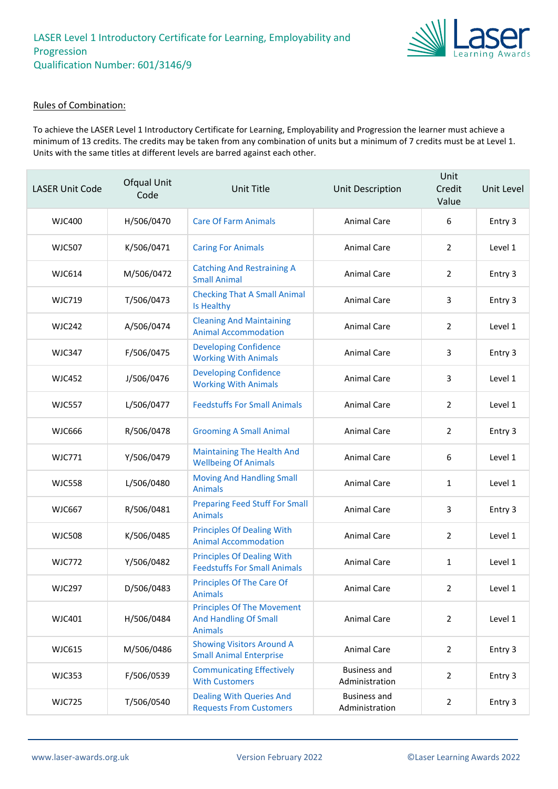

### Rules of Combination:

To achieve the LASER Level 1 Introductory Certificate for Learning, Employability and Progression the learner must achieve a minimum of 13 credits. The credits may be taken from any combination of units but a minimum of 7 credits must be at Level 1. Units with the same titles at different levels are barred against each other.

| <b>LASER Unit Code</b> | Ofqual Unit<br>Code | <b>Unit Title</b>                                                                   | Unit Description                      | Unit<br>Credit<br>Value | Unit Level |
|------------------------|---------------------|-------------------------------------------------------------------------------------|---------------------------------------|-------------------------|------------|
| WJC400                 | H/506/0470          | <b>Care Of Farm Animals</b>                                                         | <b>Animal Care</b>                    | 6                       | Entry 3    |
| <b>WJC507</b>          | K/506/0471          | <b>Caring For Animals</b>                                                           | Animal Care                           | $\overline{2}$          | Level 1    |
| <b>WJC614</b>          | M/506/0472          | <b>Catching And Restraining A</b><br><b>Small Animal</b>                            | <b>Animal Care</b>                    | 2                       | Entry 3    |
| <b>WJC719</b>          | T/506/0473          | <b>Checking That A Small Animal</b><br>Is Healthy                                   | <b>Animal Care</b>                    | 3                       | Entry 3    |
| <b>WJC242</b>          | A/506/0474          | <b>Cleaning And Maintaining</b><br><b>Animal Accommodation</b>                      | Animal Care                           | $\overline{2}$          | Level 1    |
| <b>WJC347</b>          | F/506/0475          | <b>Developing Confidence</b><br><b>Working With Animals</b>                         | Animal Care                           | 3                       | Entry 3    |
| <b>WJC452</b>          | J/506/0476          | <b>Developing Confidence</b><br><b>Working With Animals</b>                         | <b>Animal Care</b>                    | 3                       | Level 1    |
| <b>WJC557</b>          | L/506/0477          | <b>Feedstuffs For Small Animals</b>                                                 | <b>Animal Care</b>                    | $\overline{2}$          | Level 1    |
| <b>WJC666</b>          | R/506/0478          | <b>Grooming A Small Animal</b>                                                      | <b>Animal Care</b>                    | 2                       | Entry 3    |
| <b>WJC771</b>          | Y/506/0479          | <b>Maintaining The Health And</b><br><b>Wellbeing Of Animals</b>                    | <b>Animal Care</b>                    | 6                       | Level 1    |
| <b>WJC558</b>          | L/506/0480          | <b>Moving And Handling Small</b><br><b>Animals</b>                                  | <b>Animal Care</b>                    | 1                       | Level 1    |
| <b>WJC667</b>          | R/506/0481          | <b>Preparing Feed Stuff For Small</b><br><b>Animals</b>                             | <b>Animal Care</b>                    | 3                       | Entry 3    |
| <b>WJC508</b>          | K/506/0485          | <b>Principles Of Dealing With</b><br><b>Animal Accommodation</b>                    | <b>Animal Care</b>                    | 2                       | Level 1    |
| <b>WJC772</b>          | Y/506/0482          | <b>Principles Of Dealing With</b><br><b>Feedstuffs For Small Animals</b>            | Animal Care                           | $\mathbf{1}$            | Level 1    |
| <b>WJC297</b>          | D/506/0483          | Principles Of The Care Of<br><b>Animals</b>                                         | Animal Care                           | $\mathbf{2}$            | Level 1    |
| WJC401                 | H/506/0484          | <b>Principles Of The Movement</b><br><b>And Handling Of Small</b><br><b>Animals</b> | <b>Animal Care</b>                    | $\overline{2}$          | Level 1    |
| <b>WJC615</b>          | M/506/0486          | <b>Showing Visitors Around A</b><br><b>Small Animal Enterprise</b>                  | Animal Care                           | $\overline{2}$          | Entry 3    |
| <b>WJC353</b>          | F/506/0539          | <b>Communicating Effectively</b><br><b>With Customers</b>                           | <b>Business and</b><br>Administration | $\overline{2}$          | Entry 3    |
| <b>WJC725</b>          | T/506/0540          | <b>Dealing With Queries And</b><br><b>Requests From Customers</b>                   | <b>Business and</b><br>Administration | $\overline{2}$          | Entry 3    |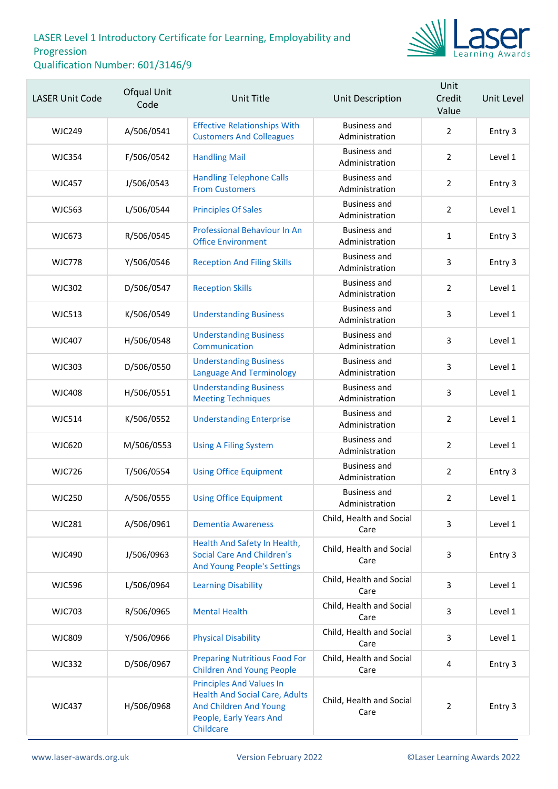

| <b>LASER Unit Code</b> | Ofqual Unit<br>Code | <b>Unit Title</b>                                                                                                                          | <b>Unit Description</b>               | Unit<br>Credit<br>Value | Unit Level |
|------------------------|---------------------|--------------------------------------------------------------------------------------------------------------------------------------------|---------------------------------------|-------------------------|------------|
| <b>WJC249</b>          | A/506/0541          | <b>Effective Relationships With</b><br><b>Customers And Colleagues</b>                                                                     | <b>Business and</b><br>Administration | $\overline{2}$          | Entry 3    |
| <b>WJC354</b>          | F/506/0542          | <b>Handling Mail</b>                                                                                                                       | <b>Business and</b><br>Administration | $\overline{2}$          | Level 1    |
| <b>WJC457</b>          | J/506/0543          | <b>Handling Telephone Calls</b><br><b>From Customers</b>                                                                                   | <b>Business and</b><br>Administration | $\overline{2}$          | Entry 3    |
| <b>WJC563</b>          | L/506/0544          | <b>Principles Of Sales</b>                                                                                                                 | <b>Business and</b><br>Administration | $\overline{2}$          | Level 1    |
| <b>WJC673</b>          | R/506/0545          | Professional Behaviour In An<br><b>Office Environment</b>                                                                                  | <b>Business and</b><br>Administration | $\mathbf{1}$            | Entry 3    |
| <b>WJC778</b>          | Y/506/0546          | <b>Reception And Filing Skills</b>                                                                                                         | <b>Business and</b><br>Administration | 3                       | Entry 3    |
| <b>WJC302</b>          | D/506/0547          | <b>Reception Skills</b>                                                                                                                    | <b>Business and</b><br>Administration | $\overline{2}$          | Level 1    |
| <b>WJC513</b>          | K/506/0549          | <b>Understanding Business</b>                                                                                                              | <b>Business and</b><br>Administration | 3                       | Level 1    |
| <b>WJC407</b>          | H/506/0548          | <b>Understanding Business</b><br>Communication                                                                                             | <b>Business and</b><br>Administration | 3                       | Level 1    |
| <b>WJC303</b>          | D/506/0550          | <b>Understanding Business</b><br><b>Language And Terminology</b>                                                                           | <b>Business and</b><br>Administration | 3                       | Level 1    |
| <b>WJC408</b>          | H/506/0551          | <b>Understanding Business</b><br><b>Meeting Techniques</b>                                                                                 | <b>Business and</b><br>Administration | 3                       | Level 1    |
| <b>WJC514</b>          | K/506/0552          | <b>Understanding Enterprise</b>                                                                                                            | <b>Business and</b><br>Administration | $\overline{2}$          | Level 1    |
| <b>WJC620</b>          | M/506/0553          | <b>Using A Filing System</b>                                                                                                               | <b>Business and</b><br>Administration | $\overline{2}$          | Level 1    |
| <b>WJC726</b>          | T/506/0554          | <b>Using Office Equipment</b>                                                                                                              | <b>Business and</b><br>Administration | $\overline{2}$          | Entry 3    |
| <b>WJC250</b>          | A/506/0555          | <b>Using Office Equipment</b>                                                                                                              | Business and<br>Administration        | $\overline{2}$          | Level 1    |
| <b>WJC281</b>          | A/506/0961          | <b>Dementia Awareness</b>                                                                                                                  | Child, Health and Social<br>Care      | 3                       | Level 1    |
| <b>WJC490</b>          | J/506/0963          | Health And Safety In Health,<br><b>Social Care And Children's</b><br>And Young People's Settings                                           | Child, Health and Social<br>Care      | $\overline{3}$          | Entry 3    |
| <b>WJC596</b>          | L/506/0964          | <b>Learning Disability</b>                                                                                                                 | Child, Health and Social<br>Care      | 3                       | Level 1    |
| <b>WJC703</b>          | R/506/0965          | <b>Mental Health</b>                                                                                                                       | Child, Health and Social<br>Care      | 3                       | Level 1    |
| <b>WJC809</b>          | Y/506/0966          | <b>Physical Disability</b>                                                                                                                 | Child, Health and Social<br>Care      | 3                       | Level 1    |
| <b>WJC332</b>          | D/506/0967          | <b>Preparing Nutritious Food For</b><br><b>Children And Young People</b>                                                                   | Child, Health and Social<br>Care      | 4                       | Entry 3    |
| <b>WJC437</b>          | H/506/0968          | <b>Principles And Values In</b><br><b>Health And Social Care, Adults</b><br>And Children And Young<br>People, Early Years And<br>Childcare | Child, Health and Social<br>Care      | $\overline{2}$          | Entry 3    |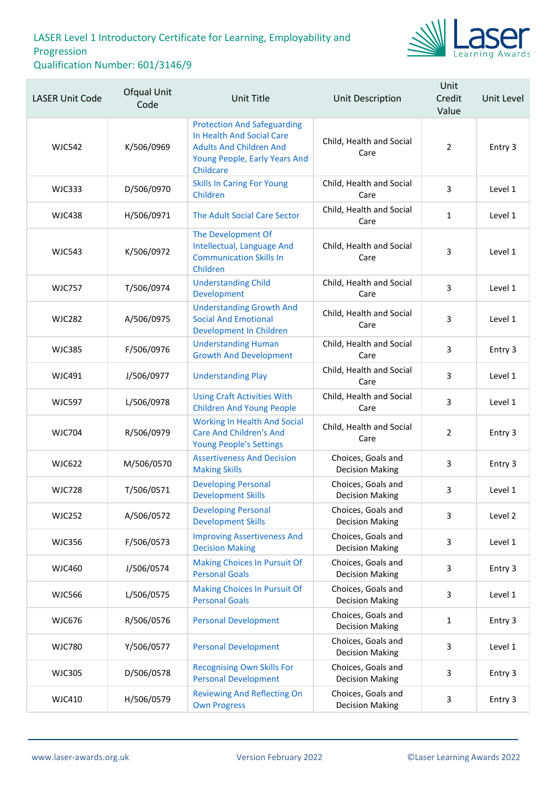

| <b>LASER Unit Code</b> | Ofqual Unit<br>Code | <b>Unit Title</b>                                                                                                                               | <b>Unit Description</b>                      | Unit<br>Credit<br>Value | Unit Level |
|------------------------|---------------------|-------------------------------------------------------------------------------------------------------------------------------------------------|----------------------------------------------|-------------------------|------------|
| <b>WJC542</b>          | K/506/0969          | <b>Protection And Safeguarding</b><br>In Health And Social Care<br><b>Adults And Children And</b><br>Young People, Early Years And<br>Childcare | Child, Health and Social<br>Care             | $\overline{2}$          | Entry 3    |
| <b>WJC333</b>          | D/506/0970          | <b>Skills In Caring For Young</b><br>Children                                                                                                   | Child, Health and Social<br>Care             | 3                       | Level 1    |
| <b>WJC438</b>          | H/506/0971          | The Adult Social Care Sector                                                                                                                    | Child, Health and Social<br>Care             | $\mathbf{1}$            | Level 1    |
| <b>WJC543</b>          | K/506/0972          | The Development Of<br>Intellectual, Language And<br><b>Communication Skills In</b><br>Children                                                  | Child, Health and Social<br>Care             | 3                       | Level 1    |
| <b>WJC757</b>          | T/506/0974          | <b>Understanding Child</b><br>Development                                                                                                       | Child, Health and Social<br>Care             | 3                       | Level 1    |
| <b>WJC282</b>          | A/506/0975          | <b>Understanding Growth And</b><br><b>Social And Emotional</b><br>Development In Children                                                       | Child, Health and Social<br>Care             | 3                       | Level 1    |
| <b>WJC385</b>          | F/506/0976          | <b>Understanding Human</b><br><b>Growth And Development</b>                                                                                     | Child, Health and Social<br>Care             | 3                       | Entry 3    |
| <b>WJC491</b>          | J/506/0977          | <b>Understanding Play</b>                                                                                                                       | Child, Health and Social<br>Care             | $\mathsf{3}$            | Level 1    |
| <b>WJC597</b>          | L/506/0978          | <b>Using Craft Activities With</b><br><b>Children And Young People</b>                                                                          | Child, Health and Social<br>Care             | 3                       | Level 1    |
| <b>WJC704</b>          | R/506/0979          | <b>Working In Health And Social</b><br><b>Care And Children's And</b><br><b>Young People's Settings</b>                                         | Child, Health and Social<br>Care             | $\overline{2}$          | Entry 3    |
| <b>WJC622</b>          | M/506/0570          | <b>Assertiveness And Decision</b><br><b>Making Skills</b>                                                                                       | Choices, Goals and<br><b>Decision Making</b> | 3                       | Entry 3    |
| <b>WJC728</b>          | T/506/0571          | <b>Developing Personal</b><br><b>Development Skills</b>                                                                                         | Choices, Goals and<br><b>Decision Making</b> | 3                       | Level 1    |
| <b>WJC252</b>          | A/506/0572          | <b>Developing Personal</b><br><b>Development Skills</b>                                                                                         | Choices, Goals and<br><b>Decision Making</b> | 3                       | Level 2    |
| <b>WJC356</b>          | F/506/0573          | <b>Improving Assertiveness And</b><br><b>Decision Making</b>                                                                                    | Choices, Goals and<br><b>Decision Making</b> | 3                       | Level 1    |
| <b>WJC460</b>          | J/506/0574          | <b>Making Choices In Pursuit Of</b><br><b>Personal Goals</b>                                                                                    | Choices, Goals and<br><b>Decision Making</b> | 3                       | Entry 3    |
| <b>WJC566</b>          | L/506/0575          | Making Choices In Pursuit Of<br><b>Personal Goals</b>                                                                                           | Choices, Goals and<br><b>Decision Making</b> | 3                       | Level 1    |
| <b>WJC676</b>          | R/506/0576          | <b>Personal Development</b>                                                                                                                     | Choices, Goals and<br><b>Decision Making</b> | $\mathbf{1}$            | Entry 3    |
| <b>WJC780</b>          | Y/506/0577          | <b>Personal Development</b>                                                                                                                     | Choices, Goals and<br><b>Decision Making</b> | 3                       | Level 1    |
| <b>WJC305</b>          | D/506/0578          | <b>Recognising Own Skills For</b><br><b>Personal Development</b>                                                                                | Choices, Goals and<br><b>Decision Making</b> | 3                       | Entry 3    |
| <b>WJC410</b>          | H/506/0579          | <b>Reviewing And Reflecting On</b><br><b>Own Progress</b>                                                                                       | Choices, Goals and<br><b>Decision Making</b> | $\mathsf{3}$            | Entry 3    |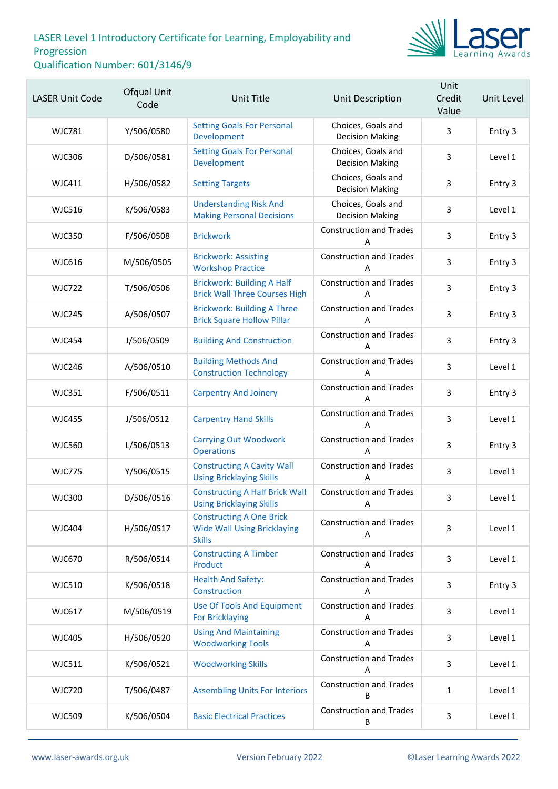

| <b>LASER Unit Code</b> | Ofqual Unit<br>Code | Unit Title                                                                             | Unit Description                             | Unit<br>Credit<br>Value | Unit Level |
|------------------------|---------------------|----------------------------------------------------------------------------------------|----------------------------------------------|-------------------------|------------|
| <b>WJC781</b>          | Y/506/0580          | <b>Setting Goals For Personal</b><br>Development                                       | Choices, Goals and<br><b>Decision Making</b> | 3                       | Entry 3    |
| <b>WJC306</b>          | D/506/0581          | <b>Setting Goals For Personal</b><br>Development                                       | Choices, Goals and<br><b>Decision Making</b> | 3                       | Level 1    |
| <b>WJC411</b>          | H/506/0582          | <b>Setting Targets</b>                                                                 | Choices, Goals and<br><b>Decision Making</b> | 3                       | Entry 3    |
| <b>WJC516</b>          | K/506/0583          | <b>Understanding Risk And</b><br><b>Making Personal Decisions</b>                      | Choices, Goals and<br><b>Decision Making</b> | 3                       | Level 1    |
| <b>WJC350</b>          | F/506/0508          | <b>Brickwork</b>                                                                       | <b>Construction and Trades</b><br>A          | 3                       | Entry 3    |
| <b>WJC616</b>          | M/506/0505          | <b>Brickwork: Assisting</b><br><b>Workshop Practice</b>                                | <b>Construction and Trades</b><br>А          | $\overline{3}$          | Entry 3    |
| <b>WJC722</b>          | T/506/0506          | <b>Brickwork: Building A Half</b><br><b>Brick Wall Three Courses High</b>              | <b>Construction and Trades</b><br>Α          | 3                       | Entry 3    |
| <b>WJC245</b>          | A/506/0507          | <b>Brickwork: Building A Three</b><br><b>Brick Square Hollow Pillar</b>                | <b>Construction and Trades</b><br>Α          | 3                       | Entry 3    |
| <b>WJC454</b>          | J/506/0509          | <b>Building And Construction</b>                                                       | <b>Construction and Trades</b><br>А          | $\overline{3}$          | Entry 3    |
| <b>WJC246</b>          | A/506/0510          | <b>Building Methods And</b><br><b>Construction Technology</b>                          | <b>Construction and Trades</b><br>A          | 3                       | Level 1    |
| <b>WJC351</b>          | F/506/0511          | <b>Carpentry And Joinery</b>                                                           | <b>Construction and Trades</b><br>Α          | 3                       | Entry 3    |
| <b>WJC455</b>          | J/506/0512          | <b>Carpentry Hand Skills</b>                                                           | <b>Construction and Trades</b><br>А          | $\overline{3}$          | Level 1    |
| <b>WJC560</b>          | L/506/0513          | <b>Carrying Out Woodwork</b><br><b>Operations</b>                                      | <b>Construction and Trades</b><br>Α          | 3                       | Entry 3    |
| <b>WJC775</b>          | Y/506/0515          | <b>Constructing A Cavity Wall</b><br><b>Using Bricklaying Skills</b>                   | <b>Construction and Trades</b><br>Α          | 3                       | Level 1    |
| <b>WJC300</b>          | D/506/0516          | <b>Constructing A Half Brick Wall</b><br><b>Using Bricklaying Skills</b>               | <b>Construction and Trades</b><br>Α          | 3                       | Level 1    |
| <b>WJC404</b>          | H/506/0517          | <b>Constructing A One Brick</b><br><b>Wide Wall Using Bricklaying</b><br><b>Skills</b> | <b>Construction and Trades</b><br>Α          | 3                       | Level 1    |
| <b>WJC670</b>          | R/506/0514          | <b>Constructing A Timber</b><br>Product                                                | <b>Construction and Trades</b><br>А          | 3                       | Level 1    |
| <b>WJC510</b>          | K/506/0518          | <b>Health And Safety:</b><br>Construction                                              | <b>Construction and Trades</b><br>A          | 3                       | Entry 3    |
| <b>WJC617</b>          | M/506/0519          | <b>Use Of Tools And Equipment</b><br><b>For Bricklaying</b>                            | <b>Construction and Trades</b><br>Α          | 3                       | Level 1    |
| <b>WJC405</b>          | H/506/0520          | <b>Using And Maintaining</b><br><b>Woodworking Tools</b>                               | <b>Construction and Trades</b><br>А          | 3                       | Level 1    |
| <b>WJC511</b>          | K/506/0521          | <b>Woodworking Skills</b>                                                              | <b>Construction and Trades</b><br>Α          | 3                       | Level 1    |
| <b>WJC720</b>          | T/506/0487          | <b>Assembling Units For Interiors</b>                                                  | <b>Construction and Trades</b><br>B          | $\mathbf{1}$            | Level 1    |
| <b>WJC509</b>          | K/506/0504          | <b>Basic Electrical Practices</b>                                                      | <b>Construction and Trades</b><br>B          | $\mathbf{3}$            | Level 1    |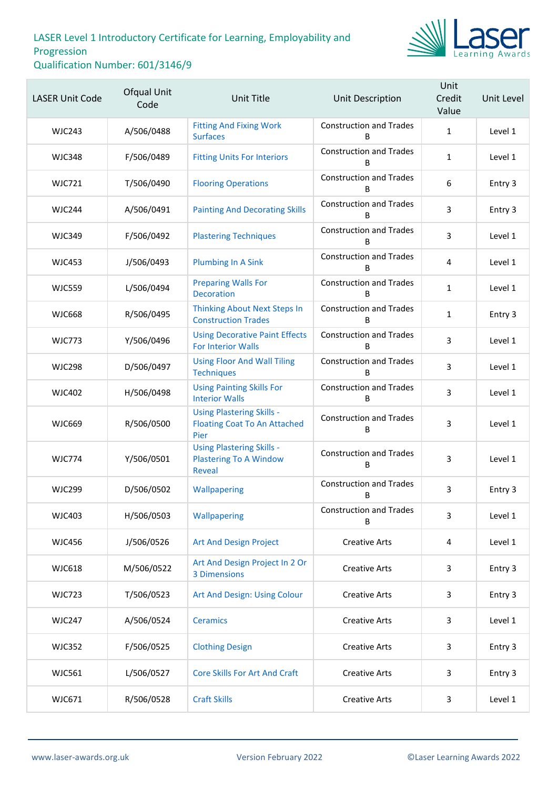

| <b>LASER Unit Code</b> | Ofqual Unit<br>Code | Unit Title                                                                         | <b>Unit Description</b>             | Unit<br>Credit<br>Value | Unit Level |
|------------------------|---------------------|------------------------------------------------------------------------------------|-------------------------------------|-------------------------|------------|
| <b>WJC243</b>          | A/506/0488          | <b>Fitting And Fixing Work</b><br><b>Surfaces</b>                                  | <b>Construction and Trades</b><br>B | $\mathbf{1}$            | Level 1    |
| <b>WJC348</b>          | F/506/0489          | <b>Fitting Units For Interiors</b>                                                 | <b>Construction and Trades</b><br>B | $\mathbf{1}$            | Level 1    |
| <b>WJC721</b>          | T/506/0490          | <b>Flooring Operations</b>                                                         | <b>Construction and Trades</b><br>B | $\boldsymbol{6}$        | Entry 3    |
| <b>WJC244</b>          | A/506/0491          | <b>Painting And Decorating Skills</b>                                              | <b>Construction and Trades</b><br>B | 3                       | Entry 3    |
| <b>WJC349</b>          | F/506/0492          | <b>Plastering Techniques</b>                                                       | <b>Construction and Trades</b><br>B | 3                       | Level 1    |
| <b>WJC453</b>          | J/506/0493          | <b>Plumbing In A Sink</b>                                                          | <b>Construction and Trades</b><br>B | 4                       | Level 1    |
| <b>WJC559</b>          | L/506/0494          | <b>Preparing Walls For</b><br><b>Decoration</b>                                    | <b>Construction and Trades</b><br>B | $\mathbf{1}$            | Level 1    |
| <b>WJC668</b>          | R/506/0495          | <b>Thinking About Next Steps In</b><br><b>Construction Trades</b>                  | <b>Construction and Trades</b><br>B | $\mathbf{1}$            | Entry 3    |
| <b>WJC773</b>          | Y/506/0496          | <b>Using Decorative Paint Effects</b><br><b>For Interior Walls</b>                 | <b>Construction and Trades</b><br>в | 3                       | Level 1    |
| <b>WJC298</b>          | D/506/0497          | <b>Using Floor And Wall Tiling</b><br><b>Techniques</b>                            | <b>Construction and Trades</b><br>B | 3                       | Level 1    |
| <b>WJC402</b>          | H/506/0498          | <b>Using Painting Skills For</b><br><b>Interior Walls</b>                          | <b>Construction and Trades</b><br>B | 3                       | Level 1    |
| <b>WJC669</b>          | R/506/0500          | <b>Using Plastering Skills -</b><br><b>Floating Coat To An Attached</b><br>Pier    | <b>Construction and Trades</b><br>В | 3                       | Level 1    |
| <b>WJC774</b>          | Y/506/0501          | <b>Using Plastering Skills -</b><br><b>Plastering To A Window</b><br><b>Reveal</b> | <b>Construction and Trades</b><br>B | 3                       | Level 1    |
| <b>WJC299</b>          | D/506/0502          | Wallpapering                                                                       | <b>Construction and Trades</b><br>В | 3                       | Entry 3    |
| <b>WJC403</b>          | H/506/0503          | Wallpapering                                                                       | <b>Construction and Trades</b><br>B | 3                       | Level 1    |
| <b>WJC456</b>          | J/506/0526          | <b>Art And Design Project</b>                                                      | <b>Creative Arts</b>                | 4                       | Level 1    |
| <b>WJC618</b>          | M/506/0522          | Art And Design Project In 2 Or<br><b>3 Dimensions</b>                              | <b>Creative Arts</b>                | 3                       | Entry 3    |
| <b>WJC723</b>          | T/506/0523          | Art And Design: Using Colour                                                       | <b>Creative Arts</b>                | 3                       | Entry 3    |
| <b>WJC247</b>          | A/506/0524          | <b>Ceramics</b>                                                                    | <b>Creative Arts</b>                | 3                       | Level 1    |
| <b>WJC352</b>          | F/506/0525          | <b>Clothing Design</b>                                                             | <b>Creative Arts</b>                | 3                       | Entry 3    |
| <b>WJC561</b>          | L/506/0527          | <b>Core Skills For Art And Craft</b>                                               | <b>Creative Arts</b>                | 3                       | Entry 3    |
| WJC671                 | R/506/0528          | <b>Craft Skills</b>                                                                | <b>Creative Arts</b>                | 3                       | Level 1    |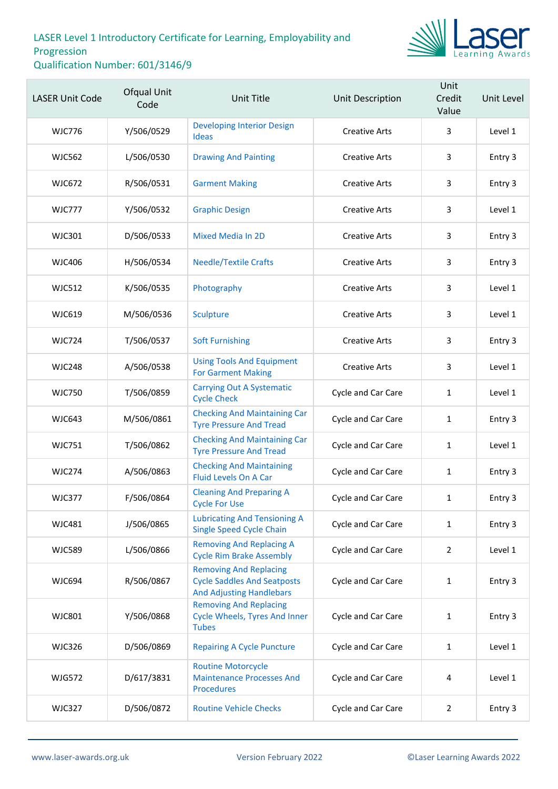

| <b>LASER Unit Code</b> | Ofqual Unit<br>Code | Unit Title                                                                                             | Unit Description     | Unit<br>Credit<br>Value | Unit Level |
|------------------------|---------------------|--------------------------------------------------------------------------------------------------------|----------------------|-------------------------|------------|
| <b>WJC776</b>          | Y/506/0529          | <b>Developing Interior Design</b><br><b>Ideas</b>                                                      | <b>Creative Arts</b> | 3                       | Level 1    |
| <b>WJC562</b>          | L/506/0530          | <b>Drawing And Painting</b>                                                                            | <b>Creative Arts</b> | 3                       | Entry 3    |
| <b>WJC672</b>          | R/506/0531          | <b>Garment Making</b>                                                                                  | <b>Creative Arts</b> | 3                       | Entry 3    |
| <b>WJC777</b>          | Y/506/0532          | <b>Graphic Design</b>                                                                                  | <b>Creative Arts</b> | 3                       | Level 1    |
| <b>WJC301</b>          | D/506/0533          | <b>Mixed Media In 2D</b>                                                                               | <b>Creative Arts</b> | 3                       | Entry 3    |
| WJC406                 | H/506/0534          | <b>Needle/Textile Crafts</b>                                                                           | <b>Creative Arts</b> | 3                       | Entry 3    |
| <b>WJC512</b>          | K/506/0535          | Photography                                                                                            | <b>Creative Arts</b> | 3                       | Level 1    |
| <b>WJC619</b>          | M/506/0536          | Sculpture                                                                                              | <b>Creative Arts</b> | 3                       | Level 1    |
| <b>WJC724</b>          | T/506/0537          | <b>Soft Furnishing</b>                                                                                 | <b>Creative Arts</b> | 3                       | Entry 3    |
| <b>WJC248</b>          | A/506/0538          | <b>Using Tools And Equipment</b><br><b>For Garment Making</b>                                          | <b>Creative Arts</b> | 3                       | Level 1    |
| <b>WJC750</b>          | T/506/0859          | <b>Carrying Out A Systematic</b><br><b>Cycle Check</b>                                                 | Cycle and Car Care   | $\mathbf{1}$            | Level 1    |
| <b>WJC643</b>          | M/506/0861          | <b>Checking And Maintaining Car</b><br><b>Tyre Pressure And Tread</b>                                  | Cycle and Car Care   | $\mathbf{1}$            | Entry 3    |
| <b>WJC751</b>          | T/506/0862          | <b>Checking And Maintaining Car</b><br><b>Tyre Pressure And Tread</b>                                  | Cycle and Car Care   | 1                       | Level 1    |
| <b>WJC274</b>          | A/506/0863          | <b>Checking And Maintaining</b><br>Fluid Levels On A Car                                               | Cycle and Car Care   | $\mathbf{1}$            | Entry 3    |
| WJC377                 | F/506/0864          | <b>Cleaning And Preparing A</b><br>Cycle For Use                                                       | Cycle and Car Care   | 1                       | Entry 3    |
| <b>WJC481</b>          | J/506/0865          | <b>Lubricating And Tensioning A</b><br><b>Single Speed Cycle Chain</b>                                 | Cycle and Car Care   | 1                       | Entry 3    |
| <b>WJC589</b>          | L/506/0866          | <b>Removing And Replacing A</b><br><b>Cycle Rim Brake Assembly</b>                                     | Cycle and Car Care   | $\overline{2}$          | Level 1    |
| <b>WJC694</b>          | R/506/0867          | <b>Removing And Replacing</b><br><b>Cycle Saddles And Seatposts</b><br><b>And Adjusting Handlebars</b> | Cycle and Car Care   | 1                       | Entry 3    |
| <b>WJC801</b>          | Y/506/0868          | <b>Removing And Replacing</b><br><b>Cycle Wheels, Tyres And Inner</b><br><b>Tubes</b>                  | Cycle and Car Care   | $\mathbf{1}$            | Entry 3    |
| <b>WJC326</b>          | D/506/0869          | <b>Repairing A Cycle Puncture</b>                                                                      | Cycle and Car Care   | 1                       | Level 1    |
| <b>WJG572</b>          | D/617/3831          | <b>Routine Motorcycle</b><br><b>Maintenance Processes And</b><br><b>Procedures</b>                     | Cycle and Car Care   | 4                       | Level 1    |
| <b>WJC327</b>          | D/506/0872          | <b>Routine Vehicle Checks</b>                                                                          | Cycle and Car Care   | $\overline{2}$          | Entry 3    |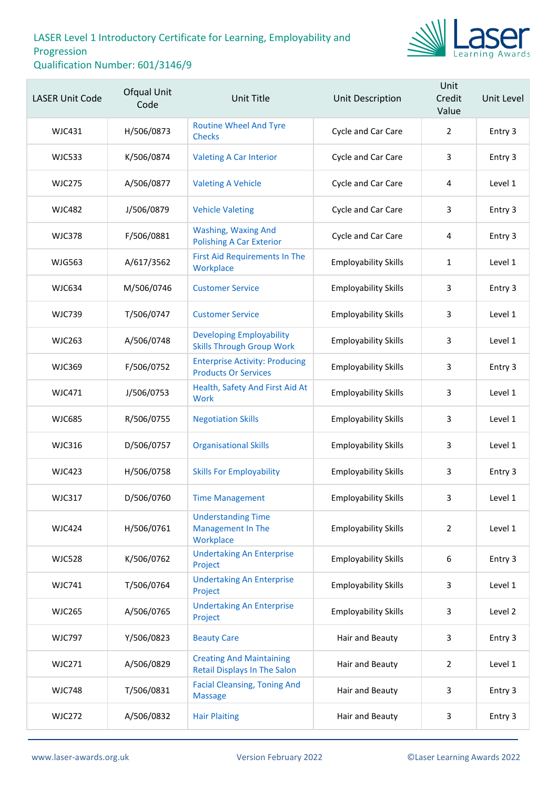

| <b>LASER Unit Code</b> | Ofqual Unit<br>Code | Unit Title                                                             | Unit Description            | Unit<br>Credit<br>Value | Unit Level |
|------------------------|---------------------|------------------------------------------------------------------------|-----------------------------|-------------------------|------------|
| <b>WJC431</b>          | H/506/0873          | <b>Routine Wheel And Tyre</b><br><b>Checks</b>                         | Cycle and Car Care          | $\overline{2}$          | Entry 3    |
| <b>WJC533</b>          | K/506/0874          | <b>Valeting A Car Interior</b>                                         | Cycle and Car Care          | 3                       | Entry 3    |
| <b>WJC275</b>          | A/506/0877          | <b>Valeting A Vehicle</b>                                              | Cycle and Car Care          | 4                       | Level 1    |
| <b>WJC482</b>          | J/506/0879          | <b>Vehicle Valeting</b>                                                | Cycle and Car Care          | 3                       | Entry 3    |
| <b>WJC378</b>          | F/506/0881          | <b>Washing, Waxing And</b><br><b>Polishing A Car Exterior</b>          | Cycle and Car Care          | 4                       | Entry 3    |
| <b>WJG563</b>          | A/617/3562          | <b>First Aid Requirements In The</b><br>Workplace                      | <b>Employability Skills</b> | $\mathbf{1}$            | Level 1    |
| <b>WJC634</b>          | M/506/0746          | <b>Customer Service</b>                                                | <b>Employability Skills</b> | 3                       | Entry 3    |
| <b>WJC739</b>          | T/506/0747          | <b>Customer Service</b>                                                | <b>Employability Skills</b> | 3                       | Level 1    |
| <b>WJC263</b>          | A/506/0748          | <b>Developing Employability</b><br><b>Skills Through Group Work</b>    | <b>Employability Skills</b> | 3                       | Level 1    |
| <b>WJC369</b>          | F/506/0752          | <b>Enterprise Activity: Producing</b><br><b>Products Or Services</b>   | <b>Employability Skills</b> | 3                       | Entry 3    |
| <b>WJC471</b>          | J/506/0753          | Health, Safety And First Aid At<br>Work                                | <b>Employability Skills</b> | 3                       | Level 1    |
| <b>WJC685</b>          | R/506/0755          | <b>Negotiation Skills</b>                                              | <b>Employability Skills</b> | 3                       | Level 1    |
| <b>WJC316</b>          | D/506/0757          | <b>Organisational Skills</b>                                           | <b>Employability Skills</b> | 3                       | Level 1    |
| <b>WJC423</b>          | H/506/0758          | <b>Skills For Employability</b>                                        | <b>Employability Skills</b> | 3                       | Entry 3    |
| <b>WJC317</b>          | D/506/0760          | <b>Time Management</b>                                                 | <b>Employability Skills</b> | 3                       | Level 1    |
| <b>WJC424</b>          | H/506/0761          | <b>Understanding Time</b><br><b>Management In The</b><br>Workplace     | <b>Employability Skills</b> | $\overline{2}$          | Level 1    |
| <b>WJC528</b>          | K/506/0762          | <b>Undertaking An Enterprise</b><br>Project                            | <b>Employability Skills</b> | 6                       | Entry 3    |
| <b>WJC741</b>          | T/506/0764          | <b>Undertaking An Enterprise</b><br>Project                            | <b>Employability Skills</b> | 3                       | Level 1    |
| <b>WJC265</b>          | A/506/0765          | <b>Undertaking An Enterprise</b><br>Project                            | <b>Employability Skills</b> | 3                       | Level 2    |
| <b>WJC797</b>          | Y/506/0823          | <b>Beauty Care</b>                                                     | Hair and Beauty             | 3                       | Entry 3    |
| <b>WJC271</b>          | A/506/0829          | <b>Creating And Maintaining</b><br><b>Retail Displays In The Salon</b> | Hair and Beauty             | $\overline{2}$          | Level 1    |
| <b>WJC748</b>          | T/506/0831          | <b>Facial Cleansing, Toning And</b><br><b>Massage</b>                  | Hair and Beauty             | 3                       | Entry 3    |
| <b>WJC272</b>          | A/506/0832          | <b>Hair Plaiting</b>                                                   | Hair and Beauty             | 3                       | Entry 3    |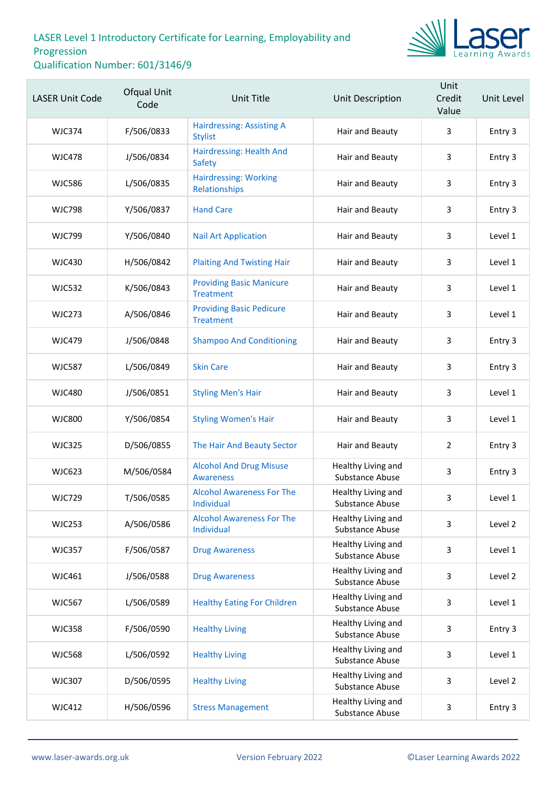

| <b>LASER Unit Code</b> | <b>Ofqual Unit</b><br>Code | <b>Unit Title</b>                                   | Unit Description                      | Unit<br>Credit<br>Value | Unit Level |
|------------------------|----------------------------|-----------------------------------------------------|---------------------------------------|-------------------------|------------|
| <b>WJC374</b>          | F/506/0833                 | <b>Hairdressing: Assisting A</b><br><b>Stylist</b>  | Hair and Beauty                       | 3                       | Entry 3    |
| <b>WJC478</b>          | J/506/0834                 | Hairdressing: Health And<br>Safety                  | Hair and Beauty                       | 3                       | Entry 3    |
| <b>WJC586</b>          | L/506/0835                 | <b>Hairdressing: Working</b><br>Relationships       | Hair and Beauty                       | 3                       | Entry 3    |
| <b>WJC798</b>          | Y/506/0837                 | <b>Hand Care</b>                                    | Hair and Beauty                       | 3                       | Entry 3    |
| <b>WJC799</b>          | Y/506/0840                 | <b>Nail Art Application</b>                         | Hair and Beauty                       | 3                       | Level 1    |
| <b>WJC430</b>          | H/506/0842                 | <b>Plaiting And Twisting Hair</b>                   | Hair and Beauty                       | 3                       | Level 1    |
| <b>WJC532</b>          | K/506/0843                 | <b>Providing Basic Manicure</b><br><b>Treatment</b> | Hair and Beauty                       | 3                       | Level 1    |
| <b>WJC273</b>          | A/506/0846                 | <b>Providing Basic Pedicure</b><br><b>Treatment</b> | Hair and Beauty                       | 3                       | Level 1    |
| <b>WJC479</b>          | J/506/0848                 | <b>Shampoo And Conditioning</b>                     | Hair and Beauty                       | 3                       | Entry 3    |
| <b>WJC587</b>          | L/506/0849                 | <b>Skin Care</b>                                    | Hair and Beauty                       | 3                       | Entry 3    |
| <b>WJC480</b>          | J/506/0851                 | <b>Styling Men's Hair</b>                           | Hair and Beauty                       | 3                       | Level 1    |
| <b>WJC800</b>          | Y/506/0854                 | <b>Styling Women's Hair</b>                         | Hair and Beauty                       | 3                       | Level 1    |
| <b>WJC325</b>          | D/506/0855                 | The Hair And Beauty Sector                          | Hair and Beauty                       | $\overline{2}$          | Entry 3    |
| <b>WJC623</b>          | M/506/0584                 | <b>Alcohol And Drug Misuse</b><br><b>Awareness</b>  | Healthy Living and<br>Substance Abuse | 3                       | Entry 3    |
| <b>WJC729</b>          | T/506/0585                 | <b>Alcohol Awareness For The</b><br>Individual      | Healthy Living and<br>Substance Abuse | 3                       | Level 1    |
| <b>WJC253</b>          | A/506/0586                 | <b>Alcohol Awareness For The</b><br>Individual      | Healthy Living and<br>Substance Abuse | 3                       | Level 2    |
| <b>WJC357</b>          | F/506/0587                 | <b>Drug Awareness</b>                               | Healthy Living and<br>Substance Abuse | 3                       | Level 1    |
| <b>WJC461</b>          | J/506/0588                 | <b>Drug Awareness</b>                               | Healthy Living and<br>Substance Abuse | 3                       | Level 2    |
| <b>WJC567</b>          | L/506/0589                 | <b>Healthy Eating For Children</b>                  | Healthy Living and<br>Substance Abuse | 3                       | Level 1    |
| <b>WJC358</b>          | F/506/0590                 | <b>Healthy Living</b>                               | Healthy Living and<br>Substance Abuse | 3                       | Entry 3    |
| <b>WJC568</b>          | L/506/0592                 | <b>Healthy Living</b>                               | Healthy Living and<br>Substance Abuse | 3                       | Level 1    |
| <b>WJC307</b>          | D/506/0595                 | <b>Healthy Living</b>                               | Healthy Living and<br>Substance Abuse | 3                       | Level 2    |
| <b>WJC412</b>          | H/506/0596                 | <b>Stress Management</b>                            | Healthy Living and<br>Substance Abuse | 3                       | Entry 3    |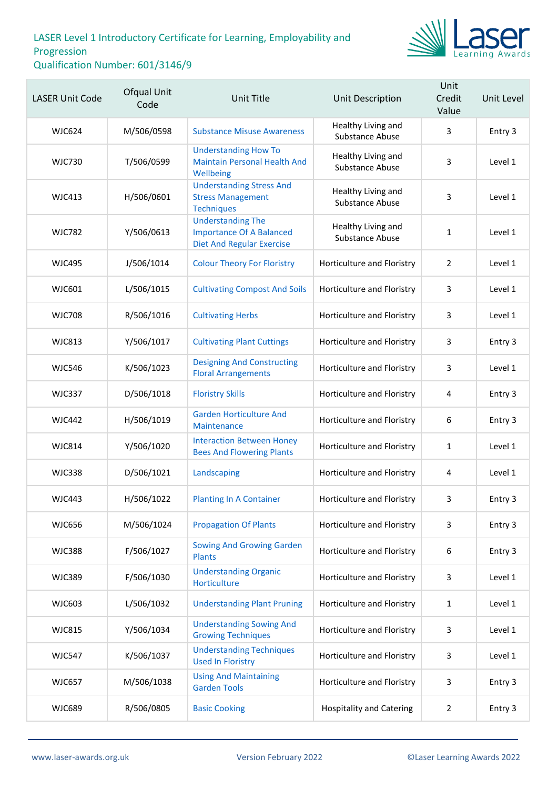

| <b>LASER Unit Code</b> | Ofqual Unit<br>Code | <b>Unit Title</b>                                                                               | Unit Description                      | Unit<br>Credit<br>Value | Unit Level |
|------------------------|---------------------|-------------------------------------------------------------------------------------------------|---------------------------------------|-------------------------|------------|
| <b>WJC624</b>          | M/506/0598          | <b>Substance Misuse Awareness</b>                                                               | Healthy Living and<br>Substance Abuse | 3                       | Entry 3    |
| <b>WJC730</b>          | T/506/0599          | <b>Understanding How To</b><br><b>Maintain Personal Health And</b><br>Wellbeing                 | Healthy Living and<br>Substance Abuse | 3                       | Level 1    |
| <b>WJC413</b>          | H/506/0601          | <b>Understanding Stress And</b><br><b>Stress Management</b><br><b>Techniques</b>                | Healthy Living and<br>Substance Abuse | 3                       | Level 1    |
| <b>WJC782</b>          | Y/506/0613          | <b>Understanding The</b><br><b>Importance Of A Balanced</b><br><b>Diet And Regular Exercise</b> | Healthy Living and<br>Substance Abuse | $\mathbf{1}$            | Level 1    |
| <b>WJC495</b>          | J/506/1014          | <b>Colour Theory For Floristry</b>                                                              | Horticulture and Floristry            | 2                       | Level 1    |
| <b>WJC601</b>          | L/506/1015          | <b>Cultivating Compost And Soils</b>                                                            | Horticulture and Floristry            | 3                       | Level 1    |
| <b>WJC708</b>          | R/506/1016          | <b>Cultivating Herbs</b>                                                                        | Horticulture and Floristry            | 3                       | Level 1    |
| <b>WJC813</b>          | Y/506/1017          | <b>Cultivating Plant Cuttings</b>                                                               | Horticulture and Floristry            | 3                       | Entry 3    |
| <b>WJC546</b>          | K/506/1023          | <b>Designing And Constructing</b><br><b>Floral Arrangements</b>                                 | Horticulture and Floristry            | 3                       | Level 1    |
| <b>WJC337</b>          | D/506/1018          | <b>Floristry Skills</b>                                                                         | Horticulture and Floristry            | 4                       | Entry 3    |
| <b>WJC442</b>          | H/506/1019          | <b>Garden Horticulture And</b><br>Maintenance                                                   | Horticulture and Floristry            | $\boldsymbol{6}$        | Entry 3    |
| <b>WJC814</b>          | Y/506/1020          | <b>Interaction Between Honey</b><br><b>Bees And Flowering Plants</b>                            | Horticulture and Floristry            | $\mathbf{1}$            | Level 1    |
| <b>WJC338</b>          | D/506/1021          | Landscaping                                                                                     | Horticulture and Floristry            | 4                       | Level 1    |
| WJC443                 | H/506/1022          | <b>Planting In A Container</b>                                                                  | Horticulture and Floristry            | 3                       | Entry 3    |
| <b>WJC656</b>          | M/506/1024          | <b>Propagation Of Plants</b>                                                                    | Horticulture and Floristry            | 3                       | Entry 3    |
| <b>WJC388</b>          | F/506/1027          | <b>Sowing And Growing Garden</b><br><b>Plants</b>                                               | Horticulture and Floristry            | 6                       | Entry 3    |
| <b>WJC389</b>          | F/506/1030          | <b>Understanding Organic</b><br>Horticulture                                                    | Horticulture and Floristry            | 3                       | Level 1    |
| <b>WJC603</b>          | L/506/1032          | <b>Understanding Plant Pruning</b>                                                              | Horticulture and Floristry            | 1                       | Level 1    |
| <b>WJC815</b>          | Y/506/1034          | <b>Understanding Sowing And</b><br><b>Growing Techniques</b>                                    | Horticulture and Floristry            | 3                       | Level 1    |
| <b>WJC547</b>          | K/506/1037          | <b>Understanding Techniques</b><br><b>Used In Floristry</b>                                     | Horticulture and Floristry            | 3                       | Level 1    |
| <b>WJC657</b>          | M/506/1038          | <b>Using And Maintaining</b><br><b>Garden Tools</b>                                             | Horticulture and Floristry            | 3                       | Entry 3    |
| <b>WJC689</b>          | R/506/0805          | <b>Basic Cooking</b>                                                                            | <b>Hospitality and Catering</b>       | 2                       | Entry 3    |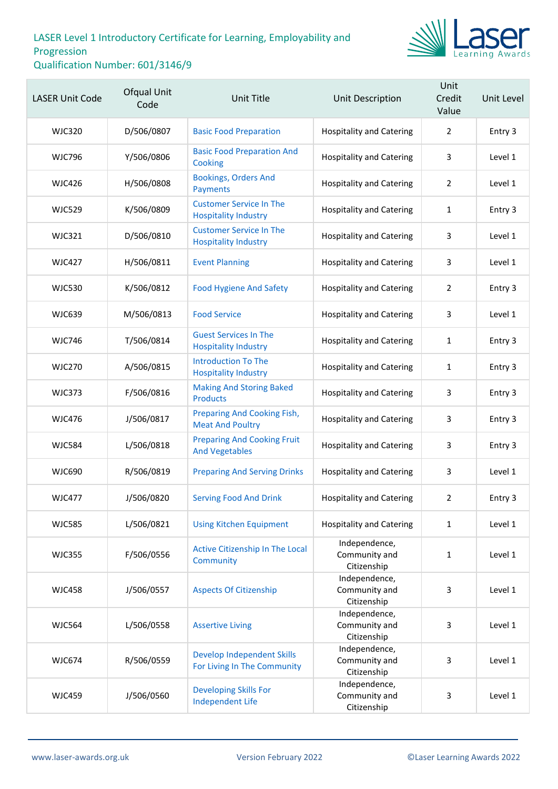

| <b>LASER Unit Code</b> | <b>Ofqual Unit</b><br>Code | Unit Title                                                       | Unit Description                              | Unit<br>Credit<br>Value | Unit Level |
|------------------------|----------------------------|------------------------------------------------------------------|-----------------------------------------------|-------------------------|------------|
| <b>WJC320</b>          | D/506/0807                 | <b>Basic Food Preparation</b>                                    | <b>Hospitality and Catering</b>               | $\overline{2}$          | Entry 3    |
| <b>WJC796</b>          | Y/506/0806                 | <b>Basic Food Preparation And</b><br>Cooking                     | <b>Hospitality and Catering</b>               | 3                       | Level 1    |
| <b>WJC426</b>          | H/506/0808                 | <b>Bookings, Orders And</b><br>Payments                          | <b>Hospitality and Catering</b>               | 2                       | Level 1    |
| <b>WJC529</b>          | K/506/0809                 | <b>Customer Service In The</b><br><b>Hospitality Industry</b>    | <b>Hospitality and Catering</b>               | 1                       | Entry 3    |
| <b>WJC321</b>          | D/506/0810                 | <b>Customer Service In The</b><br><b>Hospitality Industry</b>    | <b>Hospitality and Catering</b>               | 3                       | Level 1    |
| <b>WJC427</b>          | H/506/0811                 | <b>Event Planning</b>                                            | <b>Hospitality and Catering</b>               | 3                       | Level 1    |
| <b>WJC530</b>          | K/506/0812                 | <b>Food Hygiene And Safety</b>                                   | <b>Hospitality and Catering</b>               | $\overline{2}$          | Entry 3    |
| <b>WJC639</b>          | M/506/0813                 | <b>Food Service</b>                                              | <b>Hospitality and Catering</b>               | 3                       | Level 1    |
| <b>WJC746</b>          | T/506/0814                 | <b>Guest Services In The</b><br><b>Hospitality Industry</b>      | <b>Hospitality and Catering</b>               | 1                       | Entry 3    |
| <b>WJC270</b>          | A/506/0815                 | <b>Introduction To The</b><br><b>Hospitality Industry</b>        | <b>Hospitality and Catering</b>               | 1                       | Entry 3    |
| <b>WJC373</b>          | F/506/0816                 | <b>Making And Storing Baked</b><br><b>Products</b>               | <b>Hospitality and Catering</b>               | 3                       | Entry 3    |
| <b>WJC476</b>          | J/506/0817                 | Preparing And Cooking Fish,<br><b>Meat And Poultry</b>           | <b>Hospitality and Catering</b>               | 3                       | Entry 3    |
| <b>WJC584</b>          | L/506/0818                 | <b>Preparing And Cooking Fruit</b><br><b>And Vegetables</b>      | <b>Hospitality and Catering</b>               | 3                       | Entry 3    |
| <b>WJC690</b>          | R/506/0819                 | <b>Preparing And Serving Drinks</b>                              | <b>Hospitality and Catering</b>               | 3                       | Level 1    |
| <b>WJC477</b>          | J/506/0820                 | <b>Serving Food And Drink</b>                                    | <b>Hospitality and Catering</b>               | 2                       | Entry 3    |
| <b>WJC585</b>          | L/506/0821                 | <b>Using Kitchen Equipment</b>                                   | <b>Hospitality and Catering</b>               | $\mathbf{1}$            | Level 1    |
| <b>WJC355</b>          | F/506/0556                 | Active Citizenship In The Local<br>Community                     | Independence,<br>Community and<br>Citizenship | $\mathbf{1}$            | Level 1    |
| <b>WJC458</b>          | J/506/0557                 | <b>Aspects Of Citizenship</b>                                    | Independence,<br>Community and<br>Citizenship | 3                       | Level 1    |
| <b>WJC564</b>          | L/506/0558                 | <b>Assertive Living</b>                                          | Independence,<br>Community and<br>Citizenship | 3                       | Level 1    |
| <b>WJC674</b>          | R/506/0559                 | <b>Develop Independent Skills</b><br>For Living In The Community | Independence,<br>Community and<br>Citizenship | 3                       | Level 1    |
| <b>WJC459</b>          | J/506/0560                 | <b>Developing Skills For</b><br><b>Independent Life</b>          | Independence,<br>Community and<br>Citizenship | 3                       | Level 1    |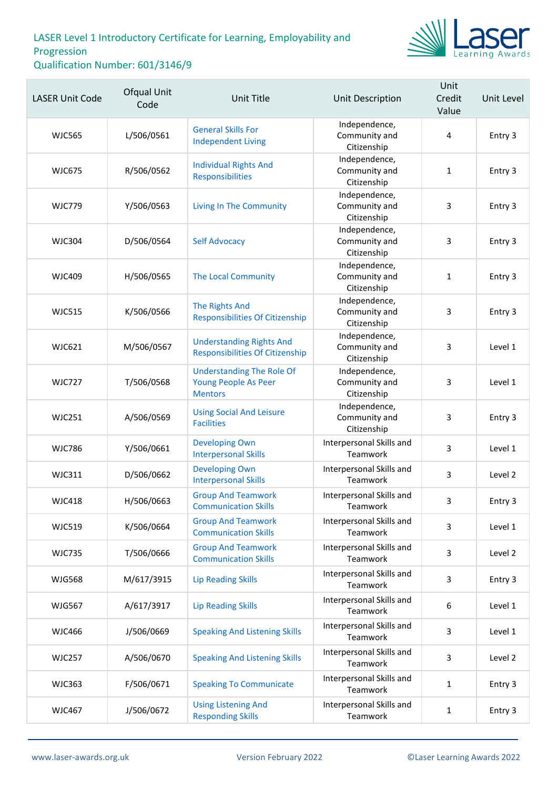

| <b>LASER Unit Code</b> | Ofqual Unit<br>Code | <b>Unit Title</b>                                                          | Unit Description                              | Unit<br>Credit<br>Value | Unit Level |
|------------------------|---------------------|----------------------------------------------------------------------------|-----------------------------------------------|-------------------------|------------|
| <b>WJC565</b>          | L/506/0561          | <b>General Skills For</b><br><b>Independent Living</b>                     | Independence,<br>Community and<br>Citizenship | 4                       | Entry 3    |
| <b>WJC675</b>          | R/506/0562          | <b>Individual Rights And</b><br>Responsibilities                           | Independence,<br>Community and<br>Citizenship | $\mathbf{1}$            | Entry 3    |
| <b>WJC779</b>          | Y/506/0563          | <b>Living In The Community</b>                                             | Independence,<br>Community and<br>Citizenship | 3                       | Entry 3    |
| <b>WJC304</b>          | D/506/0564          | <b>Self Advocacy</b>                                                       | Independence,<br>Community and<br>Citizenship | 3                       | Entry 3    |
| <b>WJC409</b>          | H/506/0565          | The Local Community                                                        | Independence,<br>Community and<br>Citizenship | $\mathbf{1}$            | Entry 3    |
| <b>WJC515</b>          | K/506/0566          | <b>The Rights And</b><br><b>Responsibilities Of Citizenship</b>            | Independence,<br>Community and<br>Citizenship | 3                       | Entry 3    |
| <b>WJC621</b>          | M/506/0567          | <b>Understanding Rights And</b><br><b>Responsibilities Of Citizenship</b>  | Independence,<br>Community and<br>Citizenship | 3                       | Level 1    |
| <b>WJC727</b>          | T/506/0568          | <b>Understanding The Role Of</b><br>Young People As Peer<br><b>Mentors</b> | Independence,<br>Community and<br>Citizenship | 3                       | Level 1    |
| <b>WJC251</b>          | A/506/0569          | <b>Using Social And Leisure</b><br><b>Facilities</b>                       | Independence,<br>Community and<br>Citizenship | 3                       | Entry 3    |
| <b>WJC786</b>          | Y/506/0661          | <b>Developing Own</b><br><b>Interpersonal Skills</b>                       | Interpersonal Skills and<br>Teamwork          | $\overline{3}$          | Level 1    |
| <b>WJC311</b>          | D/506/0662          | <b>Developing Own</b><br><b>Interpersonal Skills</b>                       | Interpersonal Skills and<br>Teamwork          | 3                       | Level 2    |
| <b>WJC418</b>          | H/506/0663          | <b>Group And Teamwork</b><br><b>Communication Skills</b>                   | Interpersonal Skills and<br>Teamwork          | 3                       | Entry 3    |
| <b>WJC519</b>          | K/506/0664          | <b>Group And Teamwork</b><br><b>Communication Skills</b>                   | Interpersonal Skills and<br>Teamwork          | 3                       | Level 1    |
| <b>WJC735</b>          | T/506/0666          | <b>Group And Teamwork</b><br><b>Communication Skills</b>                   | Interpersonal Skills and<br>Teamwork          | 3                       | Level 2    |
| <b>WJG568</b>          | M/617/3915          | <b>Lip Reading Skills</b>                                                  | Interpersonal Skills and<br>Teamwork          | 3                       | Entry 3    |
| <b>WJG567</b>          | A/617/3917          | <b>Lip Reading Skills</b>                                                  | Interpersonal Skills and<br>Teamwork          | 6                       | Level 1    |
| <b>WJC466</b>          | J/506/0669          | <b>Speaking And Listening Skills</b>                                       | Interpersonal Skills and<br>Teamwork          | 3                       | Level 1    |
| <b>WJC257</b>          | A/506/0670          | <b>Speaking And Listening Skills</b>                                       | Interpersonal Skills and<br>Teamwork          | 3                       | Level 2    |
| <b>WJC363</b>          | F/506/0671          | <b>Speaking To Communicate</b>                                             | Interpersonal Skills and<br>Teamwork          | 1                       | Entry 3    |
| <b>WJC467</b>          | J/506/0672          | <b>Using Listening And</b><br><b>Responding Skills</b>                     | Interpersonal Skills and<br>Teamwork          | $\mathbf{1}$            | Entry 3    |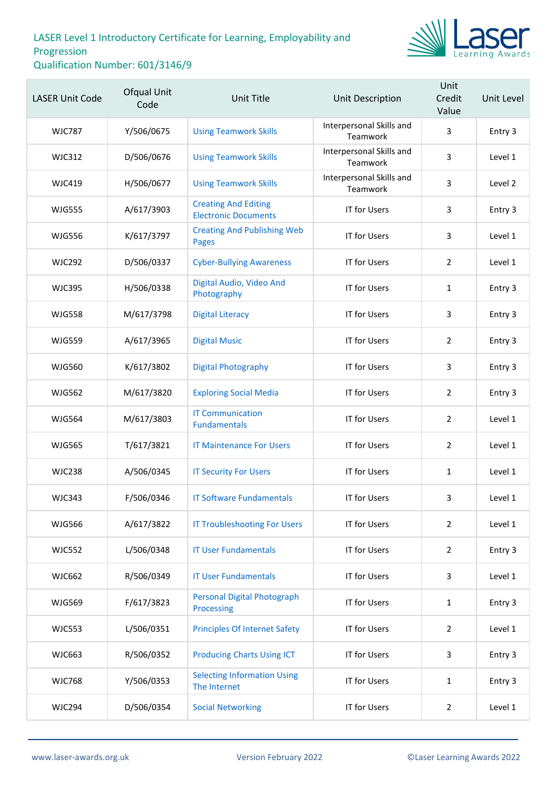

| <b>LASER Unit Code</b> | Ofqual Unit<br>Code | <b>Unit Title</b>                                          | Unit Description                     | Unit<br>Credit<br>Value | Unit Level |
|------------------------|---------------------|------------------------------------------------------------|--------------------------------------|-------------------------|------------|
| <b>WJC787</b>          | Y/506/0675          | <b>Using Teamwork Skills</b>                               | Interpersonal Skills and<br>Teamwork | 3                       | Entry 3    |
| <b>WJC312</b>          | D/506/0676          | <b>Using Teamwork Skills</b>                               | Interpersonal Skills and<br>Teamwork | 3                       | Level 1    |
| <b>WJC419</b>          | H/506/0677          | <b>Using Teamwork Skills</b>                               | Interpersonal Skills and<br>Teamwork | 3                       | Level 2    |
| <b>WJG555</b>          | A/617/3903          | <b>Creating And Editing</b><br><b>Electronic Documents</b> | IT for Users                         | 3                       | Entry 3    |
| <b>WJG556</b>          | K/617/3797          | <b>Creating And Publishing Web</b><br><b>Pages</b>         | <b>IT for Users</b>                  | 3                       | Level 1    |
| <b>WJC292</b>          | D/506/0337          | <b>Cyber-Bullying Awareness</b>                            | <b>IT for Users</b>                  | $\overline{2}$          | Level 1    |
| <b>WJC395</b>          | H/506/0338          | Digital Audio, Video And<br>Photography                    | IT for Users                         | $\mathbf{1}$            | Entry 3    |
| <b>WJG558</b>          | M/617/3798          | <b>Digital Literacy</b>                                    | <b>IT for Users</b>                  | 3                       | Entry 3    |
| <b>WJG559</b>          | A/617/3965          | <b>Digital Music</b>                                       | IT for Users                         | $\overline{2}$          | Entry 3    |
| <b>WJG560</b>          | K/617/3802          | <b>Digital Photography</b>                                 | IT for Users                         | 3                       | Entry 3    |
| <b>WJG562</b>          | M/617/3820          | <b>Exploring Social Media</b>                              | <b>IT for Users</b>                  | $\overline{2}$          | Entry 3    |
| <b>WJG564</b>          | M/617/3803          | <b>IT Communication</b><br><b>Fundamentals</b>             | IT for Users                         | $\overline{2}$          | Level 1    |
| <b>WJG565</b>          | T/617/3821          | <b>IT Maintenance For Users</b>                            | IT for Users                         | $\overline{2}$          | Level 1    |
| <b>WJC238</b>          | A/506/0345          | <b>IT Security For Users</b>                               | IT for Users                         | $\mathbf{1}$            | Level 1    |
| <b>WJC343</b>          | F/506/0346          | <b>IT Software Fundamentals</b>                            | <b>IT for Users</b>                  | 3                       | Level 1    |
| <b>WJG566</b>          | A/617/3822          | <b>IT Troubleshooting For Users</b>                        | <b>IT for Users</b>                  | $\overline{2}$          | Level 1    |
| <b>WJC552</b>          | L/506/0348          | <b>IT User Fundamentals</b>                                | IT for Users                         | $\overline{2}$          | Entry 3    |
| <b>WJC662</b>          | R/506/0349          | <b>IT User Fundamentals</b>                                | IT for Users                         | 3                       | Level 1    |
| <b>WJG569</b>          | F/617/3823          | <b>Personal Digital Photograph</b><br>Processing           | IT for Users                         | $\mathbf{1}$            | Entry 3    |
| <b>WJC553</b>          | L/506/0351          | <b>Principles Of Internet Safety</b>                       | IT for Users                         | $\overline{2}$          | Level 1    |
| WJC663                 | R/506/0352          | <b>Producing Charts Using ICT</b>                          | <b>IT for Users</b>                  | 3                       | Entry 3    |
| <b>WJC768</b>          | Y/506/0353          | <b>Selecting Information Using</b><br>The Internet         | <b>IT for Users</b>                  | $\mathbf{1}$            | Entry 3    |
| <b>WJC294</b>          | D/506/0354          | <b>Social Networking</b>                                   | IT for Users                         | $\overline{2}$          | Level 1    |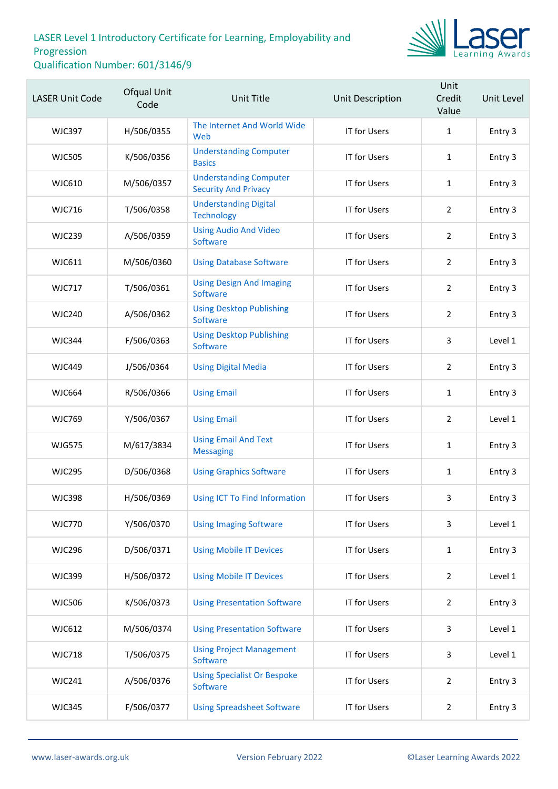

| <b>LASER Unit Code</b> | <b>Ofqual Unit</b><br>Code | Unit Title                                                   | <b>Unit Description</b> | Unit<br>Credit<br>Value | Unit Level |
|------------------------|----------------------------|--------------------------------------------------------------|-------------------------|-------------------------|------------|
| <b>WJC397</b>          | H/506/0355                 | The Internet And World Wide<br>Web                           | IT for Users            | $\mathbf{1}$            | Entry 3    |
| <b>WJC505</b>          | K/506/0356                 | <b>Understanding Computer</b><br><b>Basics</b>               | <b>IT for Users</b>     | $\mathbf{1}$            | Entry 3    |
| <b>WJC610</b>          | M/506/0357                 | <b>Understanding Computer</b><br><b>Security And Privacy</b> | <b>IT for Users</b>     | $\mathbf{1}$            | Entry 3    |
| <b>WJC716</b>          | T/506/0358                 | <b>Understanding Digital</b><br><b>Technology</b>            | <b>IT for Users</b>     | $\overline{2}$          | Entry 3    |
| <b>WJC239</b>          | A/506/0359                 | <b>Using Audio And Video</b><br>Software                     | <b>IT for Users</b>     | $\overline{2}$          | Entry 3    |
| WJC611                 | M/506/0360                 | <b>Using Database Software</b>                               | <b>IT for Users</b>     | $\overline{2}$          | Entry 3    |
| <b>WJC717</b>          | T/506/0361                 | <b>Using Design And Imaging</b><br>Software                  | <b>IT for Users</b>     | $\overline{2}$          | Entry 3    |
| <b>WJC240</b>          | A/506/0362                 | <b>Using Desktop Publishing</b><br>Software                  | <b>IT for Users</b>     | $\overline{2}$          | Entry 3    |
| <b>WJC344</b>          | F/506/0363                 | <b>Using Desktop Publishing</b><br>Software                  | IT for Users            | 3                       | Level 1    |
| <b>WJC449</b>          | J/506/0364                 | <b>Using Digital Media</b>                                   | <b>IT for Users</b>     | $\overline{2}$          | Entry 3    |
| <b>WJC664</b>          | R/506/0366                 | <b>Using Email</b>                                           | IT for Users            | 1                       | Entry 3    |
| <b>WJC769</b>          | Y/506/0367                 | <b>Using Email</b>                                           | IT for Users            | $\overline{2}$          | Level 1    |
| <b>WJG575</b>          | M/617/3834                 | <b>Using Email And Text</b><br><b>Messaging</b>              | <b>IT for Users</b>     | $\mathbf{1}$            | Entry 3    |
| <b>WJC295</b>          | D/506/0368                 | <b>Using Graphics Software</b>                               | IT for Users            | 1                       | Entry 3    |
| <b>WJC398</b>          | H/506/0369                 | Using ICT To Find Information                                | <b>IT for Users</b>     | 3                       | Entry 3    |
| <b>WJC770</b>          | Y/506/0370                 | <b>Using Imaging Software</b>                                | <b>IT for Users</b>     | 3                       | Level 1    |
| <b>WJC296</b>          | D/506/0371                 | <b>Using Mobile IT Devices</b>                               | <b>IT for Users</b>     | 1                       | Entry 3    |
| <b>WJC399</b>          | H/506/0372                 | <b>Using Mobile IT Devices</b>                               | <b>IT for Users</b>     | $\overline{2}$          | Level 1    |
| <b>WJC506</b>          | K/506/0373                 | <b>Using Presentation Software</b>                           | IT for Users            | $\overline{2}$          | Entry 3    |
| WJC612                 | M/506/0374                 | <b>Using Presentation Software</b>                           | <b>IT for Users</b>     | 3                       | Level 1    |
| <b>WJC718</b>          | T/506/0375                 | <b>Using Project Management</b><br>Software                  | <b>IT for Users</b>     | 3                       | Level 1    |
| <b>WJC241</b>          | A/506/0376                 | <b>Using Specialist Or Bespoke</b><br>Software               | IT for Users            | $\overline{2}$          | Entry 3    |
| <b>WJC345</b>          | F/506/0377                 | <b>Using Spreadsheet Software</b>                            | IT for Users            | $\overline{2}$          | Entry 3    |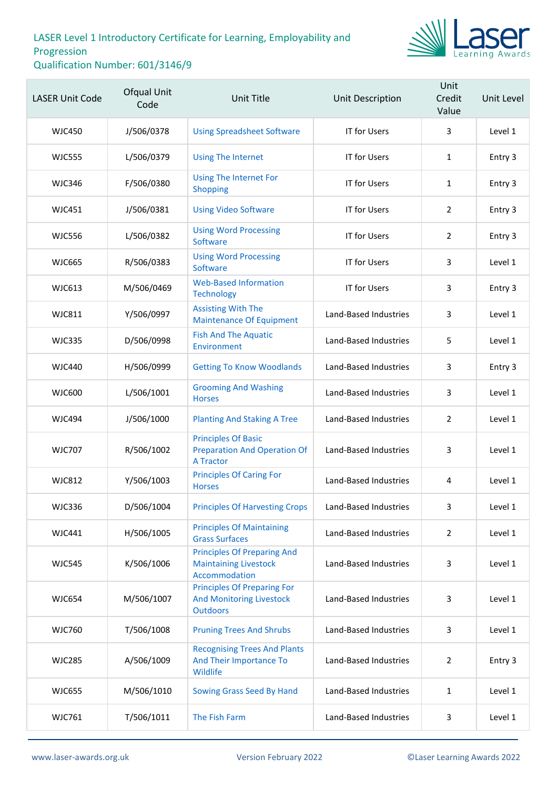

| <b>LASER Unit Code</b> | Ofqual Unit<br>Code | Unit Title                                                                               | Unit Description      | Unit<br>Credit<br>Value | Unit Level |
|------------------------|---------------------|------------------------------------------------------------------------------------------|-----------------------|-------------------------|------------|
| <b>WJC450</b>          | J/506/0378          | <b>Using Spreadsheet Software</b>                                                        | <b>IT for Users</b>   | 3                       | Level 1    |
| <b>WJC555</b>          | L/506/0379          | <b>Using The Internet</b>                                                                | <b>IT for Users</b>   | $\mathbf{1}$            | Entry 3    |
| <b>WJC346</b>          | F/506/0380          | <b>Using The Internet For</b><br>Shopping                                                | <b>IT for Users</b>   | $\mathbf{1}$            | Entry 3    |
| <b>WJC451</b>          | J/506/0381          | <b>Using Video Software</b>                                                              | <b>IT for Users</b>   | $\overline{2}$          | Entry 3    |
| <b>WJC556</b>          | L/506/0382          | <b>Using Word Processing</b><br>Software                                                 | IT for Users          | $\overline{2}$          | Entry 3    |
| <b>WJC665</b>          | R/506/0383          | <b>Using Word Processing</b><br>Software                                                 | IT for Users          | 3                       | Level 1    |
| WJC613                 | M/506/0469          | <b>Web-Based Information</b><br><b>Technology</b>                                        | <b>IT for Users</b>   | 3                       | Entry 3    |
| <b>WJC811</b>          | Y/506/0997          | <b>Assisting With The</b><br><b>Maintenance Of Equipment</b>                             | Land-Based Industries | 3                       | Level 1    |
| <b>WJC335</b>          | D/506/0998          | <b>Fish And The Aquatic</b><br>Environment                                               | Land-Based Industries | 5                       | Level 1    |
| WJC440                 | H/506/0999          | <b>Getting To Know Woodlands</b>                                                         | Land-Based Industries | 3                       | Entry 3    |
| <b>WJC600</b>          | L/506/1001          | <b>Grooming And Washing</b><br><b>Horses</b>                                             | Land-Based Industries | 3                       | Level 1    |
| <b>WJC494</b>          | J/506/1000          | <b>Planting And Staking A Tree</b>                                                       | Land-Based Industries | $\overline{2}$          | Level 1    |
| <b>WJC707</b>          | R/506/1002          | <b>Principles Of Basic</b><br><b>Preparation And Operation Of</b><br>A Tractor           | Land-Based Industries | 3                       | Level 1    |
| <b>WJC812</b>          | Y/506/1003          | <b>Principles Of Caring For</b><br><b>Horses</b>                                         | Land-Based Industries | 4                       | Level 1    |
| <b>WJC336</b>          | D/506/1004          | <b>Principles Of Harvesting Crops</b>                                                    | Land-Based Industries | 3                       | Level 1    |
| WJC441                 | H/506/1005          | <b>Principles Of Maintaining</b><br><b>Grass Surfaces</b>                                | Land-Based Industries | $\overline{2}$          | Level 1    |
| <b>WJC545</b>          | K/506/1006          | <b>Principles Of Preparing And</b><br><b>Maintaining Livestock</b><br>Accommodation      | Land-Based Industries | 3                       | Level 1    |
| <b>WJC654</b>          | M/506/1007          | <b>Principles Of Preparing For</b><br><b>And Monitoring Livestock</b><br><b>Outdoors</b> | Land-Based Industries | 3                       | Level 1    |
| <b>WJC760</b>          | T/506/1008          | <b>Pruning Trees And Shrubs</b>                                                          | Land-Based Industries | 3                       | Level 1    |
| <b>WJC285</b>          | A/506/1009          | <b>Recognising Trees And Plants</b><br>And Their Importance To<br>Wildlife               | Land-Based Industries | 2                       | Entry 3    |
| <b>WJC655</b>          | M/506/1010          | Sowing Grass Seed By Hand                                                                | Land-Based Industries | $\mathbf{1}$            | Level 1    |
| <b>WJC761</b>          | T/506/1011          | The Fish Farm                                                                            | Land-Based Industries | $\mathbf{3}$            | Level 1    |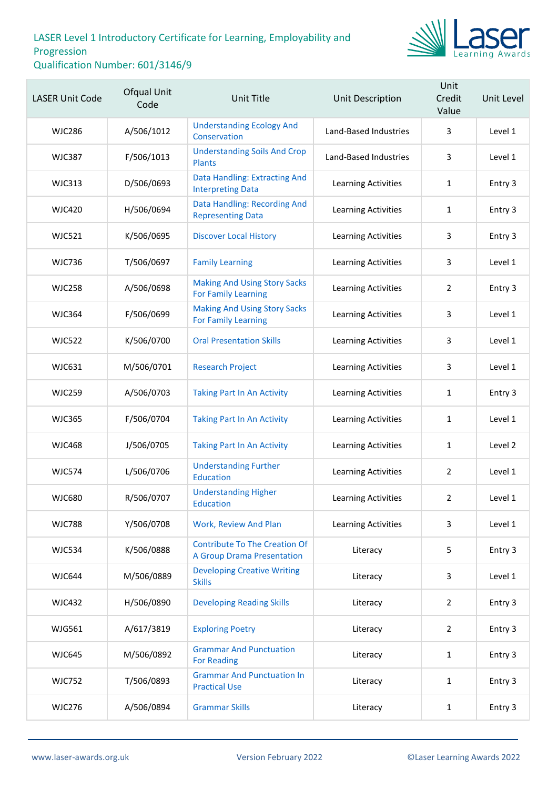

| <b>LASER Unit Code</b> | Ofqual Unit<br>Code | <b>Unit Title</b>                                                         | Unit Description           | Unit<br>Credit<br>Value | Unit Level |
|------------------------|---------------------|---------------------------------------------------------------------------|----------------------------|-------------------------|------------|
| <b>WJC286</b>          | A/506/1012          | <b>Understanding Ecology And</b><br>Conservation                          | Land-Based Industries      | 3                       | Level 1    |
| <b>WJC387</b>          | F/506/1013          | <b>Understanding Soils And Crop</b><br><b>Plants</b>                      | Land-Based Industries      | 3                       | Level 1    |
| <b>WJC313</b>          | D/506/0693          | Data Handling: Extracting And<br><b>Interpreting Data</b>                 | Learning Activities        | $\mathbf{1}$            | Entry 3    |
| <b>WJC420</b>          | H/506/0694          | Data Handling: Recording And<br><b>Representing Data</b>                  | Learning Activities        | $\mathbf{1}$            | Entry 3    |
| <b>WJC521</b>          | K/506/0695          | <b>Discover Local History</b>                                             | Learning Activities        | 3                       | Entry 3    |
| <b>WJC736</b>          | T/506/0697          | <b>Family Learning</b>                                                    | Learning Activities        | 3                       | Level 1    |
| <b>WJC258</b>          | A/506/0698          | <b>Making And Using Story Sacks</b><br><b>For Family Learning</b>         | Learning Activities        | $\overline{2}$          | Entry 3    |
| <b>WJC364</b>          | F/506/0699          | <b>Making And Using Story Sacks</b><br><b>For Family Learning</b>         | Learning Activities        | 3                       | Level 1    |
| <b>WJC522</b>          | K/506/0700          | <b>Oral Presentation Skills</b>                                           | Learning Activities        | 3                       | Level 1    |
| WJC631                 | M/506/0701          | <b>Research Project</b>                                                   | Learning Activities        | 3                       | Level 1    |
| <b>WJC259</b>          | A/506/0703          | <b>Taking Part In An Activity</b>                                         | Learning Activities        | $\mathbf{1}$            | Entry 3    |
| <b>WJC365</b>          | F/506/0704          | <b>Taking Part In An Activity</b>                                         | Learning Activities        | $\mathbf{1}$            | Level 1    |
| <b>WJC468</b>          | J/506/0705          | <b>Taking Part In An Activity</b>                                         | Learning Activities        | 1                       | Level 2    |
| <b>WJC574</b>          | L/506/0706          | <b>Understanding Further</b><br>Education                                 | Learning Activities        | $\overline{2}$          | Level 1    |
| <b>WJC680</b>          | R/506/0707          | <b>Understanding Higher</b><br>Education                                  | Learning Activities        | $\overline{2}$          | Level 1    |
| <b>WJC788</b>          | Y/506/0708          | Work, Review And Plan                                                     | <b>Learning Activities</b> | 3                       | Level 1    |
| <b>WJC534</b>          | K/506/0888          | <b>Contribute To The Creation Of</b><br><b>A Group Drama Presentation</b> | Literacy                   | 5                       | Entry 3    |
| <b>WJC644</b>          | M/506/0889          | <b>Developing Creative Writing</b><br><b>Skills</b>                       | Literacy                   | 3                       | Level 1    |
| <b>WJC432</b>          | H/506/0890          | <b>Developing Reading Skills</b>                                          | Literacy                   | $\overline{2}$          | Entry 3    |
| WJG561                 | A/617/3819          | <b>Exploring Poetry</b>                                                   | Literacy                   | $\overline{2}$          | Entry 3    |
| <b>WJC645</b>          | M/506/0892          | <b>Grammar And Punctuation</b><br><b>For Reading</b>                      | Literacy                   | $\mathbf{1}$            | Entry 3    |
| <b>WJC752</b>          | T/506/0893          | <b>Grammar And Punctuation In</b><br><b>Practical Use</b>                 | Literacy                   | $\mathbf{1}$            | Entry 3    |
| <b>WJC276</b>          | A/506/0894          | <b>Grammar Skills</b>                                                     | Literacy                   | $\mathbf{1}$            | Entry 3    |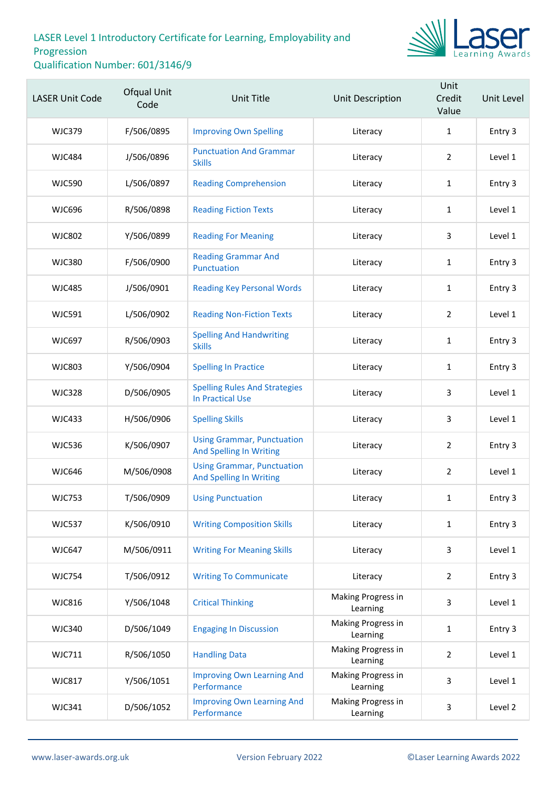

| <b>LASER Unit Code</b> | Ofqual Unit<br>Code | <b>Unit Title</b>                                                   | Unit Description               | Unit<br>Credit<br>Value | Unit Level |
|------------------------|---------------------|---------------------------------------------------------------------|--------------------------------|-------------------------|------------|
| <b>WJC379</b>          | F/506/0895          | <b>Improving Own Spelling</b>                                       | Literacy                       | $\mathbf{1}$            | Entry 3    |
| <b>WJC484</b>          | J/506/0896          | <b>Punctuation And Grammar</b><br><b>Skills</b>                     | Literacy                       | $\overline{2}$          | Level 1    |
| <b>WJC590</b>          | L/506/0897          | <b>Reading Comprehension</b>                                        | Literacy                       | $\mathbf{1}$            | Entry 3    |
| <b>WJC696</b>          | R/506/0898          | <b>Reading Fiction Texts</b>                                        | Literacy                       | 1                       | Level 1    |
| <b>WJC802</b>          | Y/506/0899          | <b>Reading For Meaning</b>                                          | Literacy                       | 3                       | Level 1    |
| <b>WJC380</b>          | F/506/0900          | <b>Reading Grammar And</b><br>Punctuation                           | Literacy                       | $\mathbf{1}$            | Entry 3    |
| <b>WJC485</b>          | J/506/0901          | <b>Reading Key Personal Words</b>                                   | Literacy                       | $\mathbf{1}$            | Entry 3    |
| <b>WJC591</b>          | L/506/0902          | <b>Reading Non-Fiction Texts</b>                                    | Literacy                       | $\overline{2}$          | Level 1    |
| <b>WJC697</b>          | R/506/0903          | <b>Spelling And Handwriting</b><br><b>Skills</b>                    | Literacy                       | $\mathbf{1}$            | Entry 3    |
| <b>WJC803</b>          | Y/506/0904          | <b>Spelling In Practice</b>                                         | Literacy                       | 1                       | Entry 3    |
| <b>WJC328</b>          | D/506/0905          | <b>Spelling Rules And Strategies</b><br><b>In Practical Use</b>     | Literacy                       | 3                       | Level 1    |
| <b>WJC433</b>          | H/506/0906          | <b>Spelling Skills</b>                                              | Literacy                       | 3                       | Level 1    |
| <b>WJC536</b>          | K/506/0907          | <b>Using Grammar, Punctuation</b><br><b>And Spelling In Writing</b> | Literacy                       | $\overline{2}$          | Entry 3    |
| <b>WJC646</b>          | M/506/0908          | <b>Using Grammar, Punctuation</b><br><b>And Spelling In Writing</b> | Literacy                       | $\overline{2}$          | Level 1    |
| <b>WJC753</b>          | T/506/0909          | <b>Using Punctuation</b>                                            | Literacy                       | $\mathbf{1}$            | Entry 3    |
| <b>WJC537</b>          | K/506/0910          | <b>Writing Composition Skills</b>                                   | Literacy                       | 1                       | Entry 3    |
| <b>WJC647</b>          | M/506/0911          | <b>Writing For Meaning Skills</b>                                   | Literacy                       | 3                       | Level 1    |
| <b>WJC754</b>          | T/506/0912          | <b>Writing To Communicate</b>                                       | Literacy                       | $\overline{2}$          | Entry 3    |
| <b>WJC816</b>          | Y/506/1048          | <b>Critical Thinking</b>                                            | Making Progress in<br>Learning | 3                       | Level 1    |
| <b>WJC340</b>          | D/506/1049          | <b>Engaging In Discussion</b>                                       | Making Progress in<br>Learning | 1                       | Entry 3    |
| <b>WJC711</b>          | R/506/1050          | <b>Handling Data</b>                                                | Making Progress in<br>Learning | $\overline{2}$          | Level 1    |
| <b>WJC817</b>          | Y/506/1051          | <b>Improving Own Learning And</b><br>Performance                    | Making Progress in<br>Learning | 3                       | Level 1    |
| <b>WJC341</b>          | D/506/1052          | <b>Improving Own Learning And</b><br>Performance                    | Making Progress in<br>Learning | 3                       | Level 2    |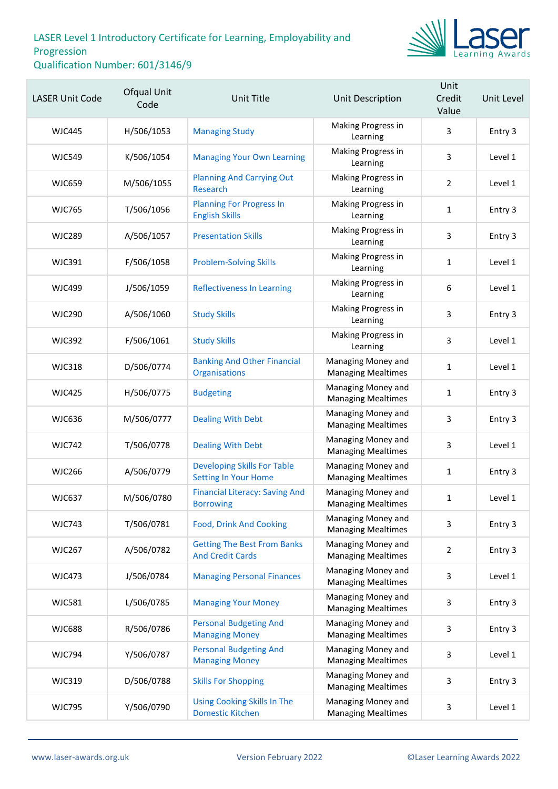

| <b>LASER Unit Code</b> | Ofqual Unit<br>Code | <b>Unit Title</b>                                                 | Unit Description                                | Unit<br>Credit<br>Value | Unit Level |
|------------------------|---------------------|-------------------------------------------------------------------|-------------------------------------------------|-------------------------|------------|
| <b>WJC445</b>          | H/506/1053          | <b>Managing Study</b>                                             | Making Progress in<br>Learning                  | 3                       | Entry 3    |
| <b>WJC549</b>          | K/506/1054          | <b>Managing Your Own Learning</b>                                 | Making Progress in<br>Learning                  | 3                       | Level 1    |
| <b>WJC659</b>          | M/506/1055          | <b>Planning And Carrying Out</b><br>Research                      | Making Progress in<br>Learning                  | $\overline{2}$          | Level 1    |
| <b>WJC765</b>          | T/506/1056          | <b>Planning For Progress In</b><br><b>English Skills</b>          | Making Progress in<br>Learning                  | $\mathbf{1}$            | Entry 3    |
| <b>WJC289</b>          | A/506/1057          | <b>Presentation Skills</b>                                        | Making Progress in<br>Learning                  | 3                       | Entry 3    |
| <b>WJC391</b>          | F/506/1058          | <b>Problem-Solving Skills</b>                                     | Making Progress in<br>Learning                  | $\mathbf{1}$            | Level 1    |
| <b>WJC499</b>          | J/506/1059          | <b>Reflectiveness In Learning</b>                                 | Making Progress in<br>Learning                  | 6                       | Level 1    |
| <b>WJC290</b>          | A/506/1060          | <b>Study Skills</b>                                               | Making Progress in<br>Learning                  | 3                       | Entry 3    |
| <b>WJC392</b>          | F/506/1061          | <b>Study Skills</b>                                               | Making Progress in<br>Learning                  | 3                       | Level 1    |
| <b>WJC318</b>          | D/506/0774          | <b>Banking And Other Financial</b><br>Organisations               | Managing Money and<br><b>Managing Mealtimes</b> | $\mathbf{1}$            | Level 1    |
| <b>WJC425</b>          | H/506/0775          | <b>Budgeting</b>                                                  | Managing Money and<br><b>Managing Mealtimes</b> | $\mathbf{1}$            | Entry 3    |
| <b>WJC636</b>          | M/506/0777          | <b>Dealing With Debt</b>                                          | Managing Money and<br><b>Managing Mealtimes</b> | $\mathsf{3}$            | Entry 3    |
| <b>WJC742</b>          | T/506/0778          | <b>Dealing With Debt</b>                                          | Managing Money and<br><b>Managing Mealtimes</b> | 3                       | Level 1    |
| <b>WJC266</b>          | A/506/0779          | <b>Developing Skills For Table</b><br><b>Setting In Your Home</b> | Managing Money and<br><b>Managing Mealtimes</b> | $\mathbf{1}$            | Entry 3    |
| <b>WJC637</b>          | M/506/0780          | <b>Financial Literacy: Saving And</b><br><b>Borrowing</b>         | Managing Money and<br><b>Managing Mealtimes</b> | 1                       | Level 1    |
| <b>WJC743</b>          | T/506/0781          | <b>Food, Drink And Cooking</b>                                    | Managing Money and<br><b>Managing Mealtimes</b> | 3                       | Entry 3    |
| <b>WJC267</b>          | A/506/0782          | <b>Getting The Best From Banks</b><br><b>And Credit Cards</b>     | Managing Money and<br><b>Managing Mealtimes</b> | $\overline{2}$          | Entry 3    |
| <b>WJC473</b>          | J/506/0784          | <b>Managing Personal Finances</b>                                 | Managing Money and<br><b>Managing Mealtimes</b> | 3                       | Level 1    |
| <b>WJC581</b>          | L/506/0785          | <b>Managing Your Money</b>                                        | Managing Money and<br><b>Managing Mealtimes</b> | $\mathsf{3}$            | Entry 3    |
| <b>WJC688</b>          | R/506/0786          | <b>Personal Budgeting And</b><br><b>Managing Money</b>            | Managing Money and<br><b>Managing Mealtimes</b> | 3                       | Entry 3    |
| <b>WJC794</b>          | Y/506/0787          | <b>Personal Budgeting And</b><br><b>Managing Money</b>            | Managing Money and<br><b>Managing Mealtimes</b> | 3                       | Level 1    |
| <b>WJC319</b>          | D/506/0788          | <b>Skills For Shopping</b>                                        | Managing Money and<br><b>Managing Mealtimes</b> | 3                       | Entry 3    |
| <b>WJC795</b>          | Y/506/0790          | <b>Using Cooking Skills In The</b><br><b>Domestic Kitchen</b>     | Managing Money and<br><b>Managing Mealtimes</b> | 3                       | Level 1    |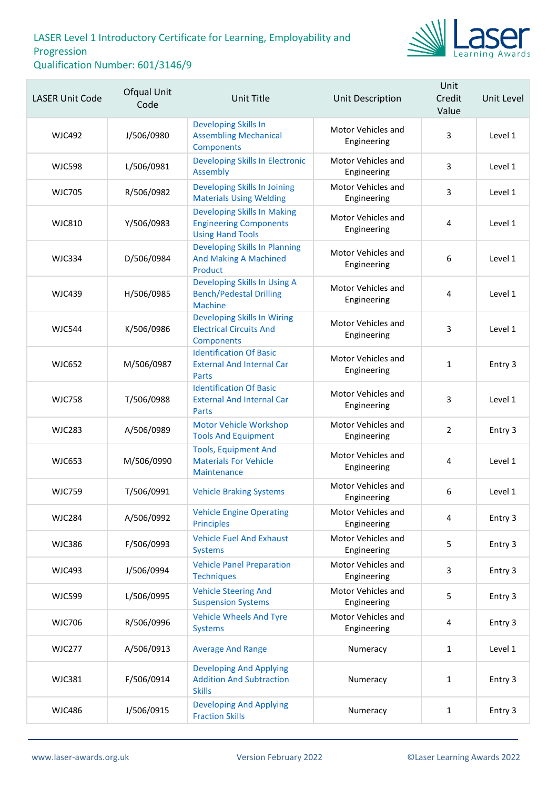

| <b>LASER Unit Code</b> | Ofqual Unit<br>Code | <b>Unit Title</b>                                                                              | Unit Description                  | Unit<br>Credit<br>Value | Unit Level |
|------------------------|---------------------|------------------------------------------------------------------------------------------------|-----------------------------------|-------------------------|------------|
| <b>WJC492</b>          | J/506/0980          | <b>Developing Skills In</b><br><b>Assembling Mechanical</b><br><b>Components</b>               | Motor Vehicles and<br>Engineering | 3                       | Level 1    |
| <b>WJC598</b>          | L/506/0981          | <b>Developing Skills In Electronic</b><br>Assembly                                             | Motor Vehicles and<br>Engineering | 3                       | Level 1    |
| <b>WJC705</b>          | R/506/0982          | Developing Skills In Joining<br><b>Materials Using Welding</b>                                 | Motor Vehicles and<br>Engineering | 3                       | Level 1    |
| <b>WJC810</b>          | Y/506/0983          | <b>Developing Skills In Making</b><br><b>Engineering Components</b><br><b>Using Hand Tools</b> | Motor Vehicles and<br>Engineering | 4                       | Level 1    |
| <b>WJC334</b>          | D/506/0984          | <b>Developing Skills In Planning</b><br><b>And Making A Machined</b><br>Product                | Motor Vehicles and<br>Engineering | 6                       | Level 1    |
| <b>WJC439</b>          | H/506/0985          | Developing Skills In Using A<br><b>Bench/Pedestal Drilling</b><br><b>Machine</b>               | Motor Vehicles and<br>Engineering | 4                       | Level 1    |
| <b>WJC544</b>          | K/506/0986          | <b>Developing Skills In Wiring</b><br><b>Electrical Circuits And</b><br>Components             | Motor Vehicles and<br>Engineering | 3                       | Level 1    |
| <b>WJC652</b>          | M/506/0987          | <b>Identification Of Basic</b><br><b>External And Internal Car</b><br>Parts                    | Motor Vehicles and<br>Engineering | $\mathbf{1}$            | Entry 3    |
| <b>WJC758</b>          | T/506/0988          | <b>Identification Of Basic</b><br><b>External And Internal Car</b><br>Parts                    | Motor Vehicles and<br>Engineering | 3                       | Level 1    |
| <b>WJC283</b>          | A/506/0989          | Motor Vehicle Workshop<br><b>Tools And Equipment</b>                                           | Motor Vehicles and<br>Engineering | $\overline{2}$          | Entry 3    |
| <b>WJC653</b>          | M/506/0990          | <b>Tools, Equipment And</b><br><b>Materials For Vehicle</b><br>Maintenance                     | Motor Vehicles and<br>Engineering | 4                       | Level 1    |
| <b>WJC759</b>          | T/506/0991          | <b>Vehicle Braking Systems</b>                                                                 | Motor Vehicles and<br>Engineering | 6                       | Level 1    |
| <b>WJC284</b>          | A/506/0992          | <b>Vehicle Engine Operating</b><br><b>Principles</b>                                           | Motor Vehicles and<br>Engineering | 4                       | Entry 3    |
| <b>WJC386</b>          | F/506/0993          | <b>Vehicle Fuel And Exhaust</b><br><b>Systems</b>                                              | Motor Vehicles and<br>Engineering | 5                       | Entry 3    |
| <b>WJC493</b>          | J/506/0994          | <b>Vehicle Panel Preparation</b><br><b>Techniques</b>                                          | Motor Vehicles and<br>Engineering | 3                       | Entry 3    |
| <b>WJC599</b>          | L/506/0995          | <b>Vehicle Steering And</b><br><b>Suspension Systems</b>                                       | Motor Vehicles and<br>Engineering | 5                       | Entry 3    |
| <b>WJC706</b>          | R/506/0996          | <b>Vehicle Wheels And Tyre</b><br><b>Systems</b>                                               | Motor Vehicles and<br>Engineering | 4                       | Entry 3    |
| <b>WJC277</b>          | A/506/0913          | <b>Average And Range</b>                                                                       | Numeracy                          | 1                       | Level 1    |
| <b>WJC381</b>          | F/506/0914          | <b>Developing And Applying</b><br><b>Addition And Subtraction</b><br><b>Skills</b>             | Numeracy                          | $\mathbf{1}$            | Entry 3    |
| <b>WJC486</b>          | J/506/0915          | <b>Developing And Applying</b><br><b>Fraction Skills</b>                                       | Numeracy                          | 1                       | Entry 3    |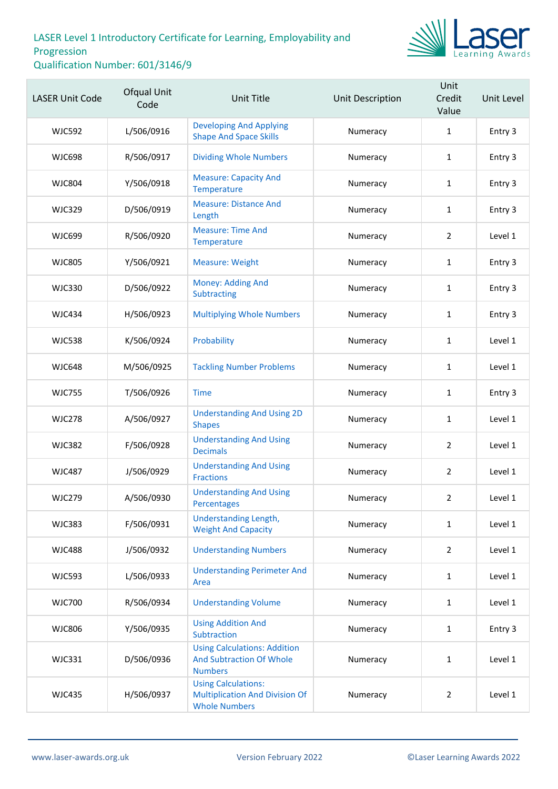

| <b>LASER Unit Code</b> | Ofqual Unit<br>Code | <b>Unit Title</b>                                                                           | Unit Description | Unit<br>Credit<br>Value | Unit Level |
|------------------------|---------------------|---------------------------------------------------------------------------------------------|------------------|-------------------------|------------|
| <b>WJC592</b>          | L/506/0916          | <b>Developing And Applying</b><br><b>Shape And Space Skills</b>                             | Numeracy         | $\mathbf{1}$            | Entry 3    |
| <b>WJC698</b>          | R/506/0917          | <b>Dividing Whole Numbers</b>                                                               | Numeracy         | $\mathbf{1}$            | Entry 3    |
| <b>WJC804</b>          | Y/506/0918          | <b>Measure: Capacity And</b><br>Temperature                                                 | Numeracy         | $\mathbf{1}$            | Entry 3    |
| <b>WJC329</b>          | D/506/0919          | <b>Measure: Distance And</b><br>Length                                                      | Numeracy         | $\mathbf{1}$            | Entry 3    |
| <b>WJC699</b>          | R/506/0920          | <b>Measure: Time And</b><br>Temperature                                                     | Numeracy         | $\overline{2}$          | Level 1    |
| <b>WJC805</b>          | Y/506/0921          | <b>Measure: Weight</b>                                                                      | Numeracy         | $\mathbf{1}$            | Entry 3    |
| <b>WJC330</b>          | D/506/0922          | Money: Adding And<br>Subtracting                                                            | Numeracy         | $\mathbf{1}$            | Entry 3    |
| <b>WJC434</b>          | H/506/0923          | <b>Multiplying Whole Numbers</b>                                                            | Numeracy         | $\mathbf{1}$            | Entry 3    |
| <b>WJC538</b>          | K/506/0924          | Probability                                                                                 | Numeracy         | $\mathbf{1}$            | Level 1    |
| <b>WJC648</b>          | M/506/0925          | <b>Tackling Number Problems</b>                                                             | Numeracy         | $\mathbf{1}$            | Level 1    |
| <b>WJC755</b>          | T/506/0926          | <b>Time</b>                                                                                 | Numeracy         | $\mathbf{1}$            | Entry 3    |
| <b>WJC278</b>          | A/506/0927          | <b>Understanding And Using 2D</b><br><b>Shapes</b>                                          | Numeracy         | $\mathbf{1}$            | Level 1    |
| <b>WJC382</b>          | F/506/0928          | <b>Understanding And Using</b><br><b>Decimals</b>                                           | Numeracy         | $\overline{2}$          | Level 1    |
| <b>WJC487</b>          | J/506/0929          | <b>Understanding And Using</b><br><b>Fractions</b>                                          | Numeracy         | $\overline{2}$          | Level 1    |
| <b>WJC279</b>          | A/506/0930          | <b>Understanding And Using</b><br>Percentages                                               | Numeracy         | 2                       | Level 1    |
| <b>WJC383</b>          | F/506/0931          | Understanding Length,<br><b>Weight And Capacity</b>                                         | Numeracy         | $\mathbf{1}$            | Level 1    |
| <b>WJC488</b>          | J/506/0932          | <b>Understanding Numbers</b>                                                                | Numeracy         | $\overline{2}$          | Level 1    |
| <b>WJC593</b>          | L/506/0933          | <b>Understanding Perimeter And</b><br>Area                                                  | Numeracy         | $\mathbf{1}$            | Level 1    |
| <b>WJC700</b>          | R/506/0934          | <b>Understanding Volume</b>                                                                 | Numeracy         | $\mathbf{1}$            | Level 1    |
| <b>WJC806</b>          | Y/506/0935          | <b>Using Addition And</b><br>Subtraction                                                    | Numeracy         | $\mathbf{1}$            | Entry 3    |
| <b>WJC331</b>          | D/506/0936          | <b>Using Calculations: Addition</b><br>And Subtraction Of Whole<br><b>Numbers</b>           | Numeracy         | $\mathbf{1}$            | Level 1    |
| <b>WJC435</b>          | H/506/0937          | <b>Using Calculations:</b><br><b>Multiplication And Division Of</b><br><b>Whole Numbers</b> | Numeracy         | $\overline{2}$          | Level 1    |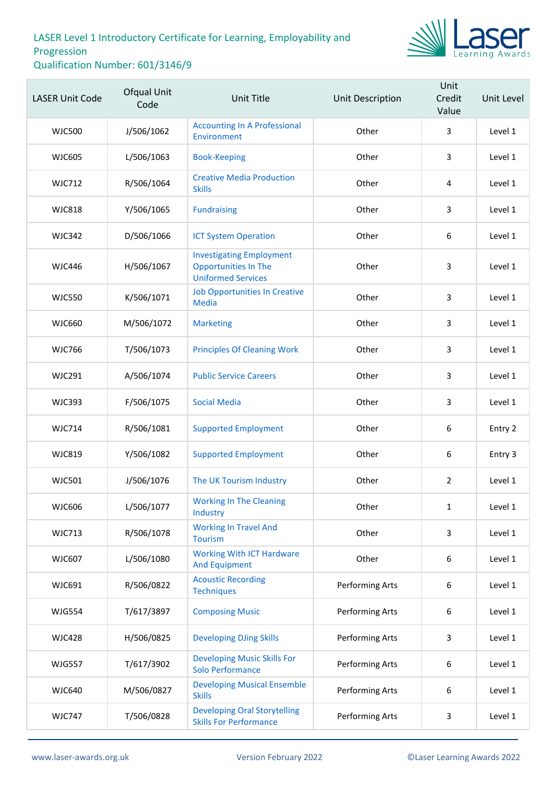

| <b>LASER Unit Code</b> | Ofqual Unit<br>Code | <b>Unit Title</b>                                                                           | Unit Description | Unit<br>Credit<br>Value | Unit Level |
|------------------------|---------------------|---------------------------------------------------------------------------------------------|------------------|-------------------------|------------|
| <b>WJC500</b>          | J/506/1062          | <b>Accounting In A Professional</b><br>Environment                                          | Other            | 3                       | Level 1    |
| <b>WJC605</b>          | L/506/1063          | <b>Book-Keeping</b>                                                                         | Other            | 3                       | Level 1    |
| <b>WJC712</b>          | R/506/1064          | <b>Creative Media Production</b><br><b>Skills</b>                                           | Other            | 4                       | Level 1    |
| <b>WJC818</b>          | Y/506/1065          | <b>Fundraising</b>                                                                          | Other            | 3                       | Level 1    |
| <b>WJC342</b>          | D/506/1066          | <b>ICT System Operation</b>                                                                 | Other            | 6                       | Level 1    |
| <b>WJC446</b>          | H/506/1067          | <b>Investigating Employment</b><br><b>Opportunities In The</b><br><b>Uniformed Services</b> | Other            | 3                       | Level 1    |
| <b>WJC550</b>          | K/506/1071          | <b>Job Opportunities In Creative</b><br><b>Media</b>                                        | Other            | 3                       | Level 1    |
| <b>WJC660</b>          | M/506/1072          | <b>Marketing</b>                                                                            | Other            | 3                       | Level 1    |
| <b>WJC766</b>          | T/506/1073          | <b>Principles Of Cleaning Work</b>                                                          | Other            | 3                       | Level 1    |
| <b>WJC291</b>          | A/506/1074          | <b>Public Service Careers</b>                                                               | Other            | 3                       | Level 1    |
| <b>WJC393</b>          | F/506/1075          | <b>Social Media</b>                                                                         | Other            | $\overline{3}$          | Level 1    |
| <b>WJC714</b>          | R/506/1081          | <b>Supported Employment</b>                                                                 | Other            | 6                       | Entry 2    |
| <b>WJC819</b>          | Y/506/1082          | <b>Supported Employment</b>                                                                 | Other            | $\boldsymbol{6}$        | Entry 3    |
| <b>WJC501</b>          | J/506/1076          | The UK Tourism Industry                                                                     | Other            | $\overline{2}$          | Level 1    |
| WJC606                 | L/506/1077          | <b>Working In The Cleaning</b><br>Industry                                                  | Other            | $\mathbf{1}$            | Level 1    |
| <b>WJC713</b>          | R/506/1078          | <b>Working In Travel And</b><br><b>Tourism</b>                                              | Other            | 3                       | Level 1    |
| <b>WJC607</b>          | L/506/1080          | <b>Working With ICT Hardware</b><br><b>And Equipment</b>                                    | Other            | 6                       | Level 1    |
| WJC691                 | R/506/0822          | <b>Acoustic Recording</b><br><b>Techniques</b>                                              | Performing Arts  | 6                       | Level 1    |
| <b>WJG554</b>          | T/617/3897          | <b>Composing Music</b>                                                                      | Performing Arts  | 6                       | Level 1    |
| <b>WJC428</b>          | H/506/0825          | <b>Developing DJing Skills</b>                                                              | Performing Arts  | 3                       | Level 1    |
| <b>WJG557</b>          | T/617/3902          | <b>Developing Music Skills For</b><br>Solo Performance                                      | Performing Arts  | 6                       | Level 1    |
| <b>WJC640</b>          | M/506/0827          | <b>Developing Musical Ensemble</b><br><b>Skills</b>                                         | Performing Arts  | 6                       | Level 1    |
| <b>WJC747</b>          | T/506/0828          | <b>Developing Oral Storytelling</b><br><b>Skills For Performance</b>                        | Performing Arts  | 3                       | Level 1    |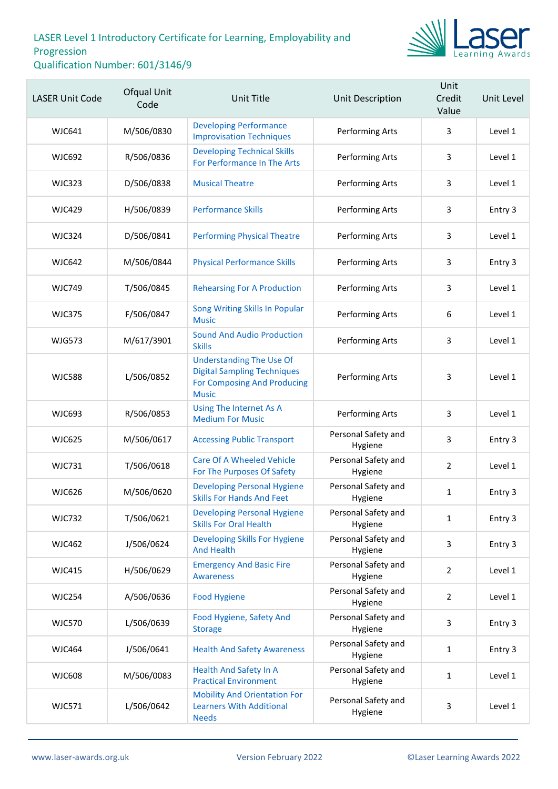

| <b>LASER Unit Code</b> | Ofqual Unit<br>Code | <b>Unit Title</b>                                                                                                           | Unit Description               | Unit<br>Credit<br>Value | Unit Level |
|------------------------|---------------------|-----------------------------------------------------------------------------------------------------------------------------|--------------------------------|-------------------------|------------|
| <b>WJC641</b>          | M/506/0830          | <b>Developing Performance</b><br><b>Improvisation Techniques</b>                                                            | Performing Arts                | 3                       | Level 1    |
| <b>WJC692</b>          | R/506/0836          | <b>Developing Technical Skills</b><br>For Performance In The Arts                                                           | Performing Arts                | 3                       | Level 1    |
| <b>WJC323</b>          | D/506/0838          | <b>Musical Theatre</b>                                                                                                      | Performing Arts                | 3                       | Level 1    |
| <b>WJC429</b>          | H/506/0839          | <b>Performance Skills</b>                                                                                                   | Performing Arts                | 3                       | Entry 3    |
| <b>WJC324</b>          | D/506/0841          | <b>Performing Physical Theatre</b>                                                                                          | Performing Arts                | 3                       | Level 1    |
| <b>WJC642</b>          | M/506/0844          | <b>Physical Performance Skills</b>                                                                                          | Performing Arts                | 3                       | Entry 3    |
| <b>WJC749</b>          | T/506/0845          | <b>Rehearsing For A Production</b>                                                                                          | Performing Arts                | 3                       | Level 1    |
| <b>WJC375</b>          | F/506/0847          | Song Writing Skills In Popular<br><b>Music</b>                                                                              | Performing Arts                | 6                       | Level 1    |
| <b>WJG573</b>          | M/617/3901          | <b>Sound And Audio Production</b><br><b>Skills</b>                                                                          | Performing Arts                | 3                       | Level 1    |
| <b>WJC588</b>          | L/506/0852          | <b>Understanding The Use Of</b><br><b>Digital Sampling Techniques</b><br><b>For Composing And Producing</b><br><b>Music</b> | Performing Arts                | 3                       | Level 1    |
| <b>WJC693</b>          | R/506/0853          | Using The Internet As A<br><b>Medium For Music</b>                                                                          | Performing Arts                | 3                       | Level 1    |
| <b>WJC625</b>          | M/506/0617          | <b>Accessing Public Transport</b>                                                                                           | Personal Safety and<br>Hygiene | 3                       | Entry 3    |
| <b>WJC731</b>          | T/506/0618          | <b>Care Of A Wheeled Vehicle</b><br>For The Purposes Of Safety                                                              | Personal Safety and<br>Hygiene | $\overline{2}$          | Level 1    |
| <b>WJC626</b>          | M/506/0620          | <b>Developing Personal Hygiene</b><br><b>Skills For Hands And Feet</b>                                                      | Personal Safety and<br>Hygiene | $\mathbf{1}$            | Entry 3    |
| <b>WJC732</b>          | T/506/0621          | <b>Developing Personal Hygiene</b><br><b>Skills For Oral Health</b>                                                         | Personal Safety and<br>Hygiene | $\mathbf{1}$            | Entry 3    |
| <b>WJC462</b>          | J/506/0624          | Developing Skills For Hygiene<br><b>And Health</b>                                                                          | Personal Safety and<br>Hygiene | 3                       | Entry 3    |
| <b>WJC415</b>          | H/506/0629          | <b>Emergency And Basic Fire</b><br><b>Awareness</b>                                                                         | Personal Safety and<br>Hygiene | $\overline{2}$          | Level 1    |
| <b>WJC254</b>          | A/506/0636          | <b>Food Hygiene</b>                                                                                                         | Personal Safety and<br>Hygiene | $\overline{2}$          | Level 1    |
| <b>WJC570</b>          | L/506/0639          | Food Hygiene, Safety And<br><b>Storage</b>                                                                                  | Personal Safety and<br>Hygiene | 3                       | Entry 3    |
| <b>WJC464</b>          | J/506/0641          | <b>Health And Safety Awareness</b>                                                                                          | Personal Safety and<br>Hygiene | $\mathbf{1}$            | Entry 3    |
| <b>WJC608</b>          | M/506/0083          | <b>Health And Safety In A</b><br><b>Practical Environment</b>                                                               | Personal Safety and<br>Hygiene | $\mathbf{1}$            | Level 1    |
| <b>WJC571</b>          | L/506/0642          | <b>Mobility And Orientation For</b><br><b>Learners With Additional</b><br><b>Needs</b>                                      | Personal Safety and<br>Hygiene | 3                       | Level 1    |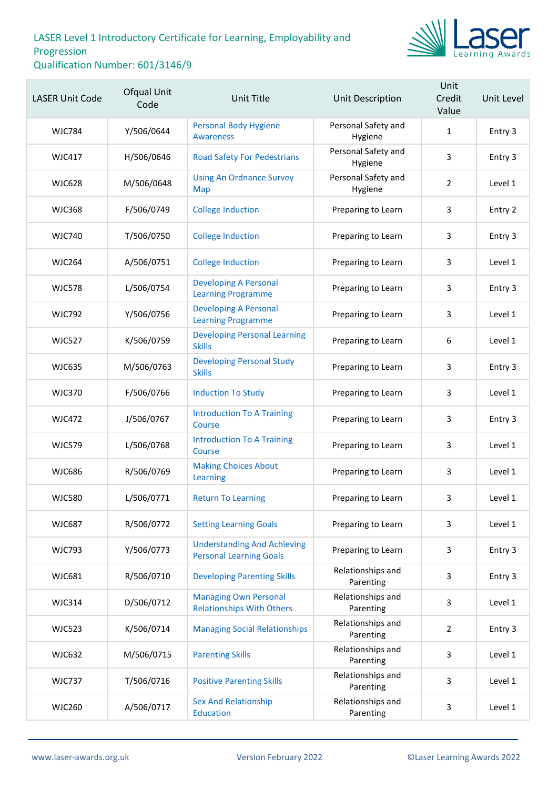

| <b>LASER Unit Code</b> | Ofqual Unit<br>Code | <b>Unit Title</b>                                                    | Unit Description               | Unit<br>Credit<br>Value | Unit Level |
|------------------------|---------------------|----------------------------------------------------------------------|--------------------------------|-------------------------|------------|
| <b>WJC784</b>          | Y/506/0644          | <b>Personal Body Hygiene</b><br><b>Awareness</b>                     | Personal Safety and<br>Hygiene | $\mathbf{1}$            | Entry 3    |
| <b>WJC417</b>          | H/506/0646          | <b>Road Safety For Pedestrians</b>                                   | Personal Safety and<br>Hygiene | 3                       | Entry 3    |
| <b>WJC628</b>          | M/506/0648          | <b>Using An Ordnance Survey</b><br>Map                               | Personal Safety and<br>Hygiene | $\overline{2}$          | Level 1    |
| <b>WJC368</b>          | F/506/0749          | <b>College Induction</b>                                             | Preparing to Learn             | 3                       | Entry 2    |
| <b>WJC740</b>          | T/506/0750          | <b>College Induction</b>                                             | Preparing to Learn             | 3                       | Entry 3    |
| <b>WJC264</b>          | A/506/0751          | <b>College Induction</b>                                             | Preparing to Learn             | 3                       | Level 1    |
| <b>WJC578</b>          | L/506/0754          | <b>Developing A Personal</b><br><b>Learning Programme</b>            | Preparing to Learn             | 3                       | Entry 3    |
| <b>WJC792</b>          | Y/506/0756          | <b>Developing A Personal</b><br><b>Learning Programme</b>            | Preparing to Learn             | 3                       | Level 1    |
| <b>WJC527</b>          | K/506/0759          | <b>Developing Personal Learning</b><br><b>Skills</b>                 | Preparing to Learn             | 6                       | Level 1    |
| <b>WJC635</b>          | M/506/0763          | <b>Developing Personal Study</b><br><b>Skills</b>                    | Preparing to Learn             | 3                       | Entry 3    |
| <b>WJC370</b>          | F/506/0766          | <b>Induction To Study</b>                                            | Preparing to Learn             | 3                       | Level 1    |
| <b>WJC472</b>          | J/506/0767          | <b>Introduction To A Training</b><br>Course                          | Preparing to Learn             | 3                       | Entry 3    |
| <b>WJC579</b>          | L/506/0768          | <b>Introduction To A Training</b><br>Course                          | Preparing to Learn             | 3                       | Level 1    |
| <b>WJC686</b>          | R/506/0769          | <b>Making Choices About</b><br>Learning                              | Preparing to Learn             | 3                       | Level 1    |
| <b>WJC580</b>          | L/506/0771          | <b>Return To Learning</b>                                            | Preparing to Learn             | 3                       | Level 1    |
| <b>WJC687</b>          | R/506/0772          | <b>Setting Learning Goals</b>                                        | Preparing to Learn             | 3                       | Level 1    |
| <b>WJC793</b>          | Y/506/0773          | <b>Understanding And Achieving</b><br><b>Personal Learning Goals</b> | Preparing to Learn             | 3                       | Entry 3    |
| <b>WJC681</b>          | R/506/0710          | <b>Developing Parenting Skills</b>                                   | Relationships and<br>Parenting | 3                       | Entry 3    |
| <b>WJC314</b>          | D/506/0712          | <b>Managing Own Personal</b><br><b>Relationships With Others</b>     | Relationships and<br>Parenting | 3                       | Level 1    |
| <b>WJC523</b>          | K/506/0714          | <b>Managing Social Relationships</b>                                 | Relationships and<br>Parenting | $\overline{2}$          | Entry 3    |
| <b>WJC632</b>          | M/506/0715          | <b>Parenting Skills</b>                                              | Relationships and<br>Parenting | 3                       | Level 1    |
| <b>WJC737</b>          | T/506/0716          | <b>Positive Parenting Skills</b>                                     | Relationships and<br>Parenting | 3                       | Level 1    |
| <b>WJC260</b>          | A/506/0717          | <b>Sex And Relationship</b><br>Education                             | Relationships and<br>Parenting | $\mathsf{3}$            | Level 1    |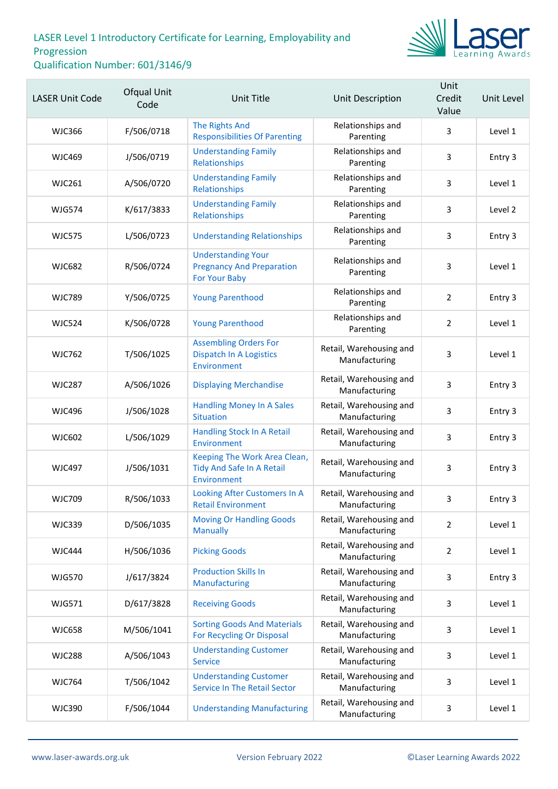

| <b>LASER Unit Code</b> | Ofqual Unit<br>Code | Unit Title                                                                      | Unit Description                         | Unit<br>Credit<br>Value | Unit Level |
|------------------------|---------------------|---------------------------------------------------------------------------------|------------------------------------------|-------------------------|------------|
| <b>WJC366</b>          | F/506/0718          | The Rights And<br><b>Responsibilities Of Parenting</b>                          | Relationships and<br>Parenting           | $\overline{3}$          | Level 1    |
| <b>WJC469</b>          | J/506/0719          | <b>Understanding Family</b><br>Relationships                                    | Relationships and<br>Parenting           | 3                       | Entry 3    |
| <b>WJC261</b>          | A/506/0720          | <b>Understanding Family</b><br>Relationships                                    | Relationships and<br>Parenting           | 3                       | Level 1    |
| <b>WJG574</b>          | K/617/3833          | <b>Understanding Family</b><br>Relationships                                    | Relationships and<br>Parenting           | 3                       | Level 2    |
| <b>WJC575</b>          | L/506/0723          | <b>Understanding Relationships</b>                                              | Relationships and<br>Parenting           | 3                       | Entry 3    |
| <b>WJC682</b>          | R/506/0724          | <b>Understanding Your</b><br><b>Pregnancy And Preparation</b><br>For Your Baby  | Relationships and<br>Parenting           | 3                       | Level 1    |
| <b>WJC789</b>          | Y/506/0725          | <b>Young Parenthood</b>                                                         | Relationships and<br>Parenting           | $\overline{2}$          | Entry 3    |
| <b>WJC524</b>          | K/506/0728          | <b>Young Parenthood</b>                                                         | Relationships and<br>Parenting           | $\overline{2}$          | Level 1    |
| <b>WJC762</b>          | T/506/1025          | <b>Assembling Orders For</b><br><b>Dispatch In A Logistics</b><br>Environment   | Retail, Warehousing and<br>Manufacturing | 3                       | Level 1    |
| <b>WJC287</b>          | A/506/1026          | <b>Displaying Merchandise</b>                                                   | Retail, Warehousing and<br>Manufacturing | 3                       | Entry 3    |
| <b>WJC496</b>          | J/506/1028          | <b>Handling Money In A Sales</b><br><b>Situation</b>                            | Retail, Warehousing and<br>Manufacturing | 3                       | Entry 3    |
| <b>WJC602</b>          | L/506/1029          | <b>Handling Stock In A Retail</b><br>Environment                                | Retail, Warehousing and<br>Manufacturing | 3                       | Entry 3    |
| <b>WJC497</b>          | J/506/1031          | Keeping The Work Area Clean,<br><b>Tidy And Safe In A Retail</b><br>Environment | Retail, Warehousing and<br>Manufacturing | 3                       | Entry 3    |
| <b>WJC709</b>          | R/506/1033          | Looking After Customers In A<br><b>Retail Environment</b>                       | Retail, Warehousing and<br>Manufacturing | 3                       | Entry 3    |
| <b>WJC339</b>          | D/506/1035          | <b>Moving Or Handling Goods</b><br><b>Manually</b>                              | Retail, Warehousing and<br>Manufacturing | $\overline{2}$          | Level 1    |
| <b>WJC444</b>          | H/506/1036          | <b>Picking Goods</b>                                                            | Retail, Warehousing and<br>Manufacturing | $\overline{2}$          | Level 1    |
| <b>WJG570</b>          | J/617/3824          | <b>Production Skills In</b><br>Manufacturing                                    | Retail, Warehousing and<br>Manufacturing | 3                       | Entry 3    |
| <b>WJG571</b>          | D/617/3828          | <b>Receiving Goods</b>                                                          | Retail, Warehousing and<br>Manufacturing | 3                       | Level 1    |
| <b>WJC658</b>          | M/506/1041          | <b>Sorting Goods And Materials</b><br><b>For Recycling Or Disposal</b>          | Retail, Warehousing and<br>Manufacturing | 3                       | Level 1    |
| <b>WJC288</b>          | A/506/1043          | <b>Understanding Customer</b><br><b>Service</b>                                 | Retail, Warehousing and<br>Manufacturing | 3                       | Level 1    |
| <b>WJC764</b>          | T/506/1042          | <b>Understanding Customer</b><br><b>Service In The Retail Sector</b>            | Retail, Warehousing and<br>Manufacturing | 3                       | Level 1    |
| <b>WJC390</b>          | F/506/1044          | <b>Understanding Manufacturing</b>                                              | Retail, Warehousing and<br>Manufacturing | 3                       | Level 1    |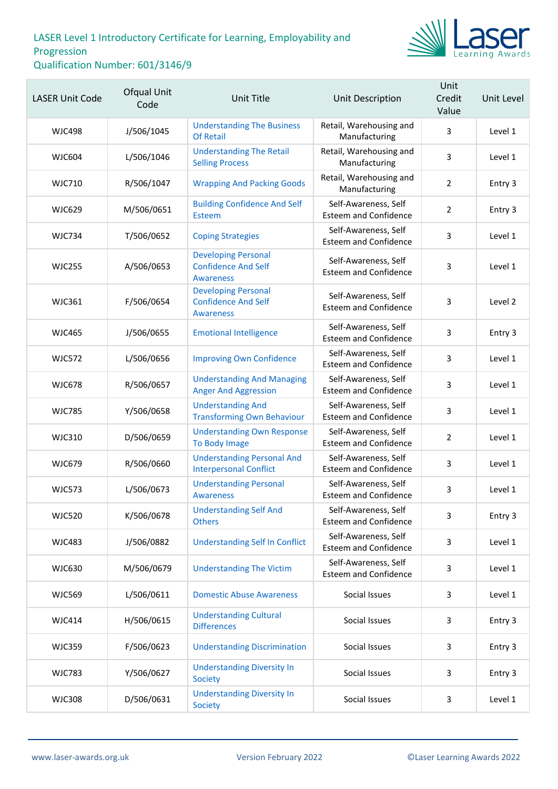

| <b>LASER Unit Code</b> | Ofqual Unit<br>Code | Unit Title                                                                   | Unit Description                                     | Unit<br>Credit<br>Value | Unit Level |
|------------------------|---------------------|------------------------------------------------------------------------------|------------------------------------------------------|-------------------------|------------|
| WJC498                 | J/506/1045          | <b>Understanding The Business</b><br><b>Of Retail</b>                        | Retail, Warehousing and<br>Manufacturing             | 3                       | Level 1    |
| <b>WJC604</b>          | L/506/1046          | <b>Understanding The Retail</b><br><b>Selling Process</b>                    | Retail, Warehousing and<br>Manufacturing             | 3                       | Level 1    |
| <b>WJC710</b>          | R/506/1047          | <b>Wrapping And Packing Goods</b>                                            | Retail, Warehousing and<br>Manufacturing             | $\overline{2}$          | Entry 3    |
| <b>WJC629</b>          | M/506/0651          | <b>Building Confidence And Self</b><br>Esteem                                | Self-Awareness, Self<br><b>Esteem and Confidence</b> | $\overline{2}$          | Entry 3    |
| <b>WJC734</b>          | T/506/0652          | <b>Coping Strategies</b>                                                     | Self-Awareness, Self<br><b>Esteem and Confidence</b> | 3                       | Level 1    |
| <b>WJC255</b>          | A/506/0653          | <b>Developing Personal</b><br><b>Confidence And Self</b><br><b>Awareness</b> | Self-Awareness, Self<br><b>Esteem and Confidence</b> | $\overline{3}$          | Level 1    |
| <b>WJC361</b>          | F/506/0654          | <b>Developing Personal</b><br><b>Confidence And Self</b><br><b>Awareness</b> | Self-Awareness, Self<br><b>Esteem and Confidence</b> | 3                       | Level 2    |
| <b>WJC465</b>          | J/506/0655          | <b>Emotional Intelligence</b>                                                | Self-Awareness, Self<br><b>Esteem and Confidence</b> | 3                       | Entry 3    |
| <b>WJC572</b>          | L/506/0656          | <b>Improving Own Confidence</b>                                              | Self-Awareness, Self<br><b>Esteem and Confidence</b> | 3                       | Level 1    |
| <b>WJC678</b>          | R/506/0657          | <b>Understanding And Managing</b><br><b>Anger And Aggression</b>             | Self-Awareness, Self<br><b>Esteem and Confidence</b> | 3                       | Level 1    |
| <b>WJC785</b>          | Y/506/0658          | <b>Understanding And</b><br><b>Transforming Own Behaviour</b>                | Self-Awareness, Self<br><b>Esteem and Confidence</b> | 3                       | Level 1    |
| <b>WJC310</b>          | D/506/0659          | <b>Understanding Own Response</b><br>To Body Image                           | Self-Awareness, Self<br><b>Esteem and Confidence</b> | $\overline{2}$          | Level 1    |
| <b>WJC679</b>          | R/506/0660          | <b>Understanding Personal And</b><br><b>Interpersonal Conflict</b>           | Self-Awareness, Self<br><b>Esteem and Confidence</b> | $\overline{3}$          | Level 1    |
| <b>WJC573</b>          | L/506/0673          | <b>Understanding Personal</b><br><b>Awareness</b>                            | Self-Awareness, Self<br><b>Esteem and Confidence</b> | 3                       | Level 1    |
| <b>WJC520</b>          | K/506/0678          | <b>Understanding Self And</b><br><b>Others</b>                               | Self-Awareness, Self<br><b>Esteem and Confidence</b> | 3                       | Entry 3    |
| <b>WJC483</b>          | J/506/0882          | <b>Understanding Self In Conflict</b>                                        | Self-Awareness, Self<br><b>Esteem and Confidence</b> | 3                       | Level 1    |
| <b>WJC630</b>          | M/506/0679          | <b>Understanding The Victim</b>                                              | Self-Awareness, Self<br><b>Esteem and Confidence</b> | 3                       | Level 1    |
| <b>WJC569</b>          | L/506/0611          | <b>Domestic Abuse Awareness</b>                                              | Social Issues                                        | 3                       | Level 1    |
| <b>WJC414</b>          | H/506/0615          | <b>Understanding Cultural</b><br><b>Differences</b>                          | Social Issues                                        | 3                       | Entry 3    |
| <b>WJC359</b>          | F/506/0623          | <b>Understanding Discrimination</b>                                          | Social Issues                                        | 3                       | Entry 3    |
| <b>WJC783</b>          | Y/506/0627          | <b>Understanding Diversity In</b><br>Society                                 | Social Issues                                        | 3                       | Entry 3    |
| <b>WJC308</b>          | D/506/0631          | <b>Understanding Diversity In</b><br>Society                                 | Social Issues                                        | 3                       | Level 1    |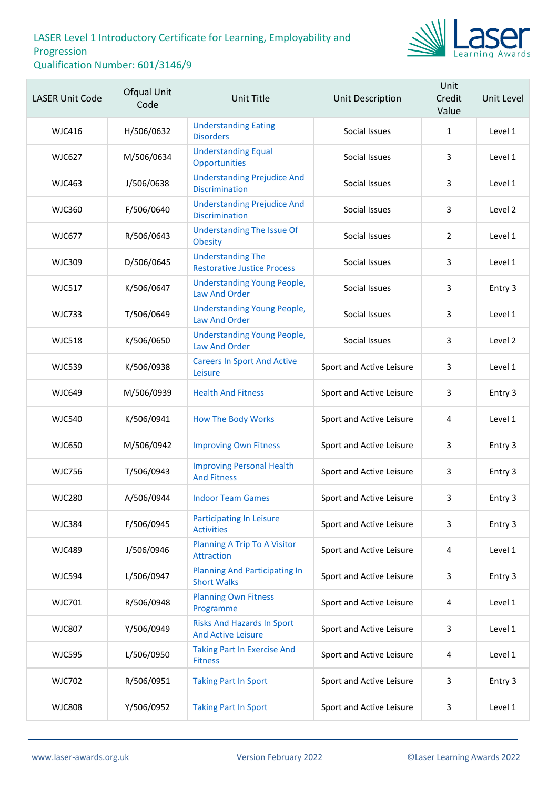

| <b>LASER Unit Code</b> | <b>Ofqual Unit</b><br>Code | Unit Title                                                     | Unit Description         | Unit<br>Credit<br>Value | Unit Level |
|------------------------|----------------------------|----------------------------------------------------------------|--------------------------|-------------------------|------------|
| <b>WJC416</b>          | H/506/0632                 | <b>Understanding Eating</b><br><b>Disorders</b>                | Social Issues            | $\mathbf{1}$            | Level 1    |
| <b>WJC627</b>          | M/506/0634                 | <b>Understanding Equal</b><br>Opportunities                    | Social Issues            | 3                       | Level 1    |
| <b>WJC463</b>          | J/506/0638                 | <b>Understanding Prejudice And</b><br><b>Discrimination</b>    | Social Issues            | 3                       | Level 1    |
| <b>WJC360</b>          | F/506/0640                 | <b>Understanding Prejudice And</b><br><b>Discrimination</b>    | Social Issues            | 3                       | Level 2    |
| <b>WJC677</b>          | R/506/0643                 | <b>Understanding The Issue Of</b><br><b>Obesity</b>            | Social Issues            | $\overline{2}$          | Level 1    |
| <b>WJC309</b>          | D/506/0645                 | <b>Understanding The</b><br><b>Restorative Justice Process</b> | Social Issues            | 3                       | Level 1    |
| <b>WJC517</b>          | K/506/0647                 | <b>Understanding Young People,</b><br><b>Law And Order</b>     | Social Issues            | 3                       | Entry 3    |
| <b>WJC733</b>          | T/506/0649                 | <b>Understanding Young People,</b><br><b>Law And Order</b>     | Social Issues            | 3                       | Level 1    |
| <b>WJC518</b>          | K/506/0650                 | <b>Understanding Young People,</b><br>Law And Order            | Social Issues            | 3                       | Level 2    |
| <b>WJC539</b>          | K/506/0938                 | <b>Careers In Sport And Active</b><br>Leisure                  | Sport and Active Leisure | 3                       | Level 1    |
| <b>WJC649</b>          | M/506/0939                 | <b>Health And Fitness</b>                                      | Sport and Active Leisure | 3                       | Entry 3    |
| <b>WJC540</b>          | K/506/0941                 | <b>How The Body Works</b>                                      | Sport and Active Leisure | 4                       | Level 1    |
| <b>WJC650</b>          | M/506/0942                 | <b>Improving Own Fitness</b>                                   | Sport and Active Leisure | 3                       | Entry 3    |
| <b>WJC756</b>          | T/506/0943                 | <b>Improving Personal Health</b><br><b>And Fitness</b>         | Sport and Active Leisure | 3                       | Entry 3    |
| <b>WJC280</b>          | A/506/0944                 | <b>Indoor Team Games</b>                                       | Sport and Active Leisure | 3                       | Entry 3    |
| <b>WJC384</b>          | F/506/0945                 | <b>Participating In Leisure</b><br><b>Activities</b>           | Sport and Active Leisure | 3                       | Entry 3    |
| <b>WJC489</b>          | J/506/0946                 | Planning A Trip To A Visitor<br>Attraction                     | Sport and Active Leisure | 4                       | Level 1    |
| <b>WJC594</b>          | L/506/0947                 | <b>Planning And Participating In</b><br><b>Short Walks</b>     | Sport and Active Leisure | 3                       | Entry 3    |
| <b>WJC701</b>          | R/506/0948                 | <b>Planning Own Fitness</b><br>Programme                       | Sport and Active Leisure | 4                       | Level 1    |
| <b>WJC807</b>          | Y/506/0949                 | <b>Risks And Hazards In Sport</b><br><b>And Active Leisure</b> | Sport and Active Leisure | 3                       | Level 1    |
| <b>WJC595</b>          | L/506/0950                 | <b>Taking Part In Exercise And</b><br><b>Fitness</b>           | Sport and Active Leisure | 4                       | Level 1    |
| <b>WJC702</b>          | R/506/0951                 | <b>Taking Part In Sport</b>                                    | Sport and Active Leisure | 3                       | Entry 3    |
| <b>WJC808</b>          | Y/506/0952                 | <b>Taking Part In Sport</b>                                    | Sport and Active Leisure | $\mathbf{3}$            | Level 1    |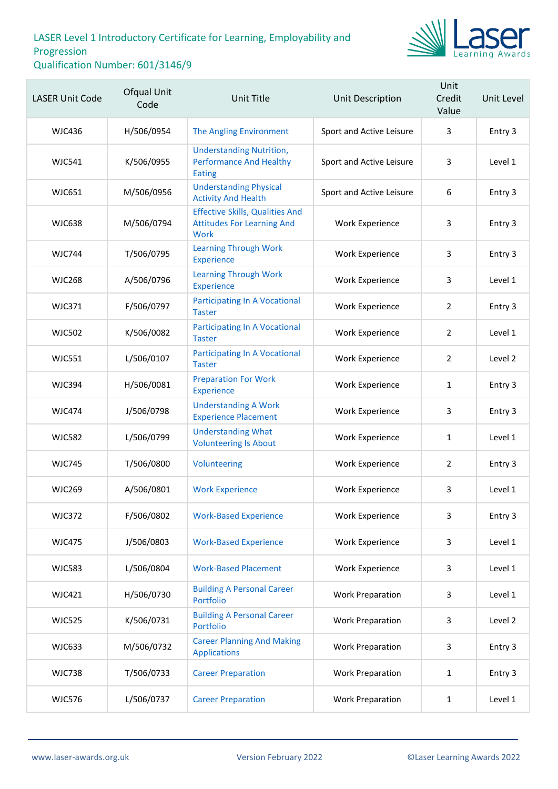

| <b>LASER Unit Code</b> | <b>Ofqual Unit</b><br>Code | Unit Title                                                                                 | Unit Description         | Unit<br>Credit<br>Value | Unit Level |
|------------------------|----------------------------|--------------------------------------------------------------------------------------------|--------------------------|-------------------------|------------|
| <b>WJC436</b>          | H/506/0954                 | The Angling Environment                                                                    | Sport and Active Leisure | 3                       | Entry 3    |
| <b>WJC541</b>          | K/506/0955                 | <b>Understanding Nutrition,</b><br><b>Performance And Healthy</b><br>Eating                | Sport and Active Leisure | 3                       | Level 1    |
| <b>WJC651</b>          | M/506/0956                 | <b>Understanding Physical</b><br><b>Activity And Health</b>                                | Sport and Active Leisure | 6                       | Entry 3    |
| <b>WJC638</b>          | M/506/0794                 | <b>Effective Skills, Qualities And</b><br><b>Attitudes For Learning And</b><br><b>Work</b> | <b>Work Experience</b>   | 3                       | Entry 3    |
| <b>WJC744</b>          | T/506/0795                 | <b>Learning Through Work</b><br>Experience                                                 | <b>Work Experience</b>   | 3                       | Entry 3    |
| <b>WJC268</b>          | A/506/0796                 | <b>Learning Through Work</b><br><b>Experience</b>                                          | Work Experience          | 3                       | Level 1    |
| <b>WJC371</b>          | F/506/0797                 | <b>Participating In A Vocational</b><br><b>Taster</b>                                      | <b>Work Experience</b>   | $\overline{2}$          | Entry 3    |
| <b>WJC502</b>          | K/506/0082                 | <b>Participating In A Vocational</b><br><b>Taster</b>                                      | <b>Work Experience</b>   | $\overline{2}$          | Level 1    |
| <b>WJC551</b>          | L/506/0107                 | <b>Participating In A Vocational</b><br><b>Taster</b>                                      | <b>Work Experience</b>   | $\overline{2}$          | Level 2    |
| <b>WJC394</b>          | H/506/0081                 | <b>Preparation For Work</b><br><b>Experience</b>                                           | <b>Work Experience</b>   | $\mathbf{1}$            | Entry 3    |
| <b>WJC474</b>          | J/506/0798                 | <b>Understanding A Work</b><br><b>Experience Placement</b>                                 | <b>Work Experience</b>   | 3                       | Entry 3    |
| <b>WJC582</b>          | L/506/0799                 | <b>Understanding What</b><br><b>Volunteering Is About</b>                                  | <b>Work Experience</b>   | $\mathbf{1}$            | Level 1    |
| <b>WJC745</b>          | T/506/0800                 | Volunteering                                                                               | Work Experience          | $\overline{2}$          | Entry 3    |
| <b>WJC269</b>          | A/506/0801                 | <b>Work Experience</b>                                                                     | Work Experience          | 3                       | Level 1    |
| <b>WJC372</b>          | F/506/0802                 | <b>Work-Based Experience</b>                                                               | <b>Work Experience</b>   | 3                       | Entry 3    |
| <b>WJC475</b>          | J/506/0803                 | <b>Work-Based Experience</b>                                                               | <b>Work Experience</b>   | 3                       | Level 1    |
| <b>WJC583</b>          | L/506/0804                 | <b>Work-Based Placement</b>                                                                | <b>Work Experience</b>   | 3                       | Level 1    |
| <b>WJC421</b>          | H/506/0730                 | <b>Building A Personal Career</b><br>Portfolio                                             | <b>Work Preparation</b>  | 3                       | Level 1    |
| <b>WJC525</b>          | K/506/0731                 | <b>Building A Personal Career</b><br>Portfolio                                             | <b>Work Preparation</b>  | 3                       | Level 2    |
| <b>WJC633</b>          | M/506/0732                 | <b>Career Planning And Making</b><br><b>Applications</b>                                   | <b>Work Preparation</b>  | 3                       | Entry 3    |
| <b>WJC738</b>          | T/506/0733                 | <b>Career Preparation</b>                                                                  | <b>Work Preparation</b>  | $\mathbf{1}$            | Entry 3    |
| <b>WJC576</b>          | L/506/0737                 | <b>Career Preparation</b>                                                                  | <b>Work Preparation</b>  | $\mathbf{1}$            | Level 1    |